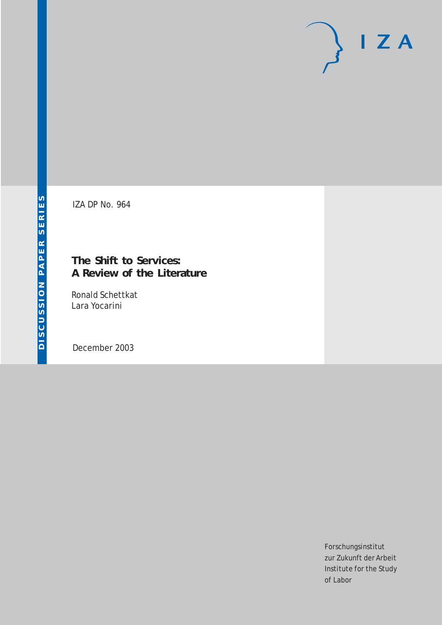# $I Z A$

IZA DP No. 964

## **The Shift to Services: A Review of the Literature**

Ronald Schettkat Lara Yocarini

December 2003

Forschungsinstitut zur Zukunft der Arbeit Institute for the Study of Labor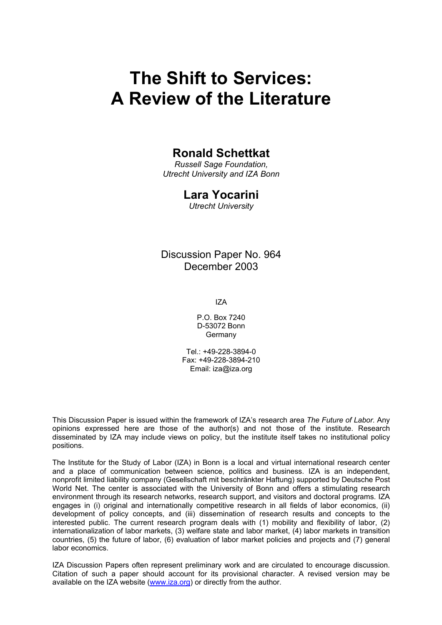# **The Shift to Services: A Review of the Literature**

### **Ronald Schettkat**

*Russell Sage Foundation, Utrecht University and IZA Bonn* 

#### **Lara Yocarini**

*Utrecht University*

Discussion Paper No. 964 December 2003

IZA

P.O. Box 7240 D-53072 Bonn Germany

Tel.: +49-228-3894-0 Fax: +49-228-3894-210 Email: [iza@iza.org](mailto:iza@iza.org)

This Discussion Paper is issued within the framework of IZA's research area *The Future of Labor.* Any opinions expressed here are those of the author(s) and not those of the institute. Research disseminated by IZA may include views on policy, but the institute itself takes no institutional policy positions.

The Institute for the Study of Labor (IZA) in Bonn is a local and virtual international research center and a place of communication between science, politics and business. IZA is an independent, nonprofit limited liability company (Gesellschaft mit beschränkter Haftung) supported by Deutsche Post World Net. The center is associated with the University of Bonn and offers a stimulating research environment through its research networks, research support, and visitors and doctoral programs. IZA engages in (i) original and internationally competitive research in all fields of labor economics, (ii) development of policy concepts, and (iii) dissemination of research results and concepts to the interested public. The current research program deals with (1) mobility and flexibility of labor, (2) internationalization of labor markets, (3) welfare state and labor market, (4) labor markets in transition countries, (5) the future of labor, (6) evaluation of labor market policies and projects and (7) general labor economics.

IZA Discussion Papers often represent preliminary work and are circulated to encourage discussion. Citation of such a paper should account for its provisional character. A revised version may be available on the IZA website ([www.iza.org](http://www.iza.org/)) or directly from the author.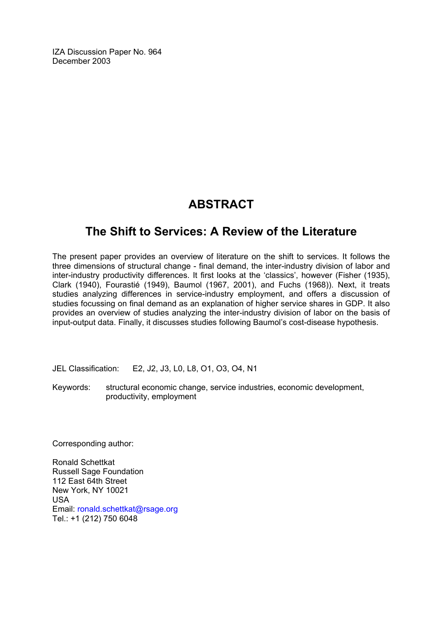IZA Discussion Paper No. 964 December 2003

## **ABSTRACT**

## **The Shift to Services: A Review of the Literature**

The present paper provides an overview of literature on the shift to services. It follows the three dimensions of structural change - final demand, the inter-industry division of labor and inter-industry productivity differences. It first looks at the 'classics', however (Fisher (1935), Clark (1940), Fourastié (1949), Baumol (1967, 2001), and Fuchs (1968)). Next, it treats studies analyzing differences in service-industry employment, and offers a discussion of studies focussing on final demand as an explanation of higher service shares in GDP. It also provides an overview of studies analyzing the inter-industry division of labor on the basis of input-output data. Finally, it discusses studies following Baumol's cost-disease hypothesis.

JEL Classification: E2, J2, J3, L0, L8, O1, O3, O4, N1

Keywords: structural economic change, service industries, economic development, productivity, employment

Corresponding author:

Ronald Schettkat Russell Sage Foundation 112 East 64th Street New York, NY 10021 USA Email: [ronald.schettkat@rsage.org](mailto:ronald.schettkat@rsage.org) Tel.: +1 (212) 750 6048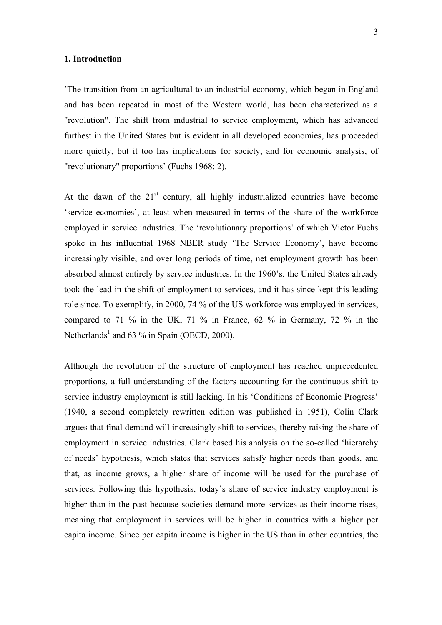#### **1. Introduction**

'The transition from an agricultural to an industrial economy, which began in England and has been repeated in most of the Western world, has been characterized as a "revolution". The shift from industrial to service employment, which has advanced furthest in the United States but is evident in all developed economies, has proceeded more quietly, but it too has implications for society, and for economic analysis, of "revolutionary" proportions' (Fuchs 1968: 2).

At the dawn of the  $21<sup>st</sup>$  century, all highly industrialized countries have become 'service economies', at least when measured in terms of the share of the workforce employed in service industries. The 'revolutionary proportions' of which Victor Fuchs spoke in his influential 1968 NBER study 'The Service Economy', have become increasingly visible, and over long periods of time, net employment growth has been absorbed almost entirely by service industries. In the 1960's, the United States already took the lead in the shift of employment to services, and it has since kept this leading role since. To exemplify, in 2000, 74 % of the US workforce was employed in services, compared to 71 % in the UK, 71 % in France, 62 % in Germany, 72 % in the Netherlands<sup>1</sup> and 63 % in Spain (OECD, 2000).

Although the revolution of the structure of employment has reached unprecedented proportions, a full understanding of the factors accounting for the continuous shift to service industry employment is still lacking. In his 'Conditions of Economic Progress' (1940, a second completely rewritten edition was published in 1951), Colin Clark argues that final demand will increasingly shift to services, thereby raising the share of employment in service industries. Clark based his analysis on the so-called 'hierarchy of needs' hypothesis, which states that services satisfy higher needs than goods, and that, as income grows, a higher share of income will be used for the purchase of services. Following this hypothesis, today's share of service industry employment is higher than in the past because societies demand more services as their income rises, meaning that employment in services will be higher in countries with a higher per capita income. Since per capita income is higher in the US than in other countries, the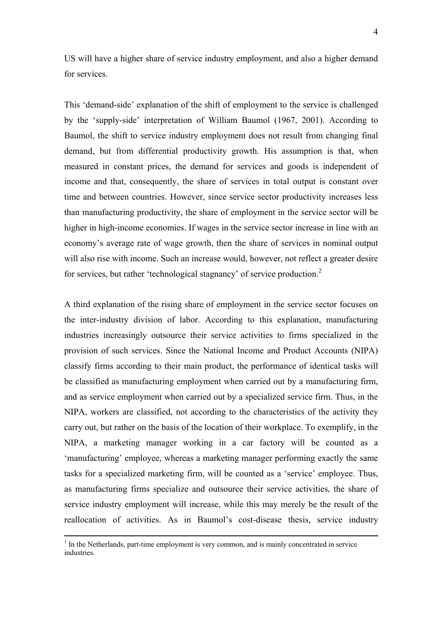US will have a higher share of service industry employment, and also a higher demand for services.

This 'demand-side' explanation of the shift of employment to the service is challenged by the 'supply-side' interpretation of William Baumol (1967, 2001). According to Baumol, the shift to service industry employment does not result from changing final demand, but from differential productivity growth. His assumption is that, when measured in constant prices, the demand for services and goods is independent of income and that, consequently, the share of services in total output is constant over time and between countries. However, since service sector productivity increases less than manufacturing productivity, the share of employment in the service sector will be higher in high-income economies. If wages in the service sector increase in line with an economy's average rate of wage growth, then the share of services in nominal output will also rise with income. Such an increase would, however, not reflect a greater desire for services, but rather 'technological stagnancy' of service production.<sup>2</sup>

A third explanation of the rising share of employment in the service sector focuses on the inter-industry division of labor. According to this explanation, manufacturing industries increasingly outsource their service activities to firms specialized in the provision of such services. Since the National Income and Product Accounts (NIPA) classify firms according to their main product, the performance of identical tasks will be classified as manufacturing employment when carried out by a manufacturing firm, and as service employment when carried out by a specialized service firm. Thus, in the NIPA, workers are classified, not according to the characteristics of the activity they carry out, but rather on the basis of the location of their workplace. To exemplify, in the NIPA, a marketing manager working in a car factory will be counted as a 'manufacturing' employee, whereas a marketing manager performing exactly the same tasks for a specialized marketing firm, will be counted as a 'service' employee. Thus, as manufacturing firms specialize and outsource their service activities, the share of service industry employment will increase, while this may merely be the result of the reallocation of activities. As in Baumol's cost-disease thesis, service industry

 $\frac{1}{1}$  $<sup>1</sup>$  In the Netherlands, part-time employment is very common, and is mainly concentrated in service</sup> **industries**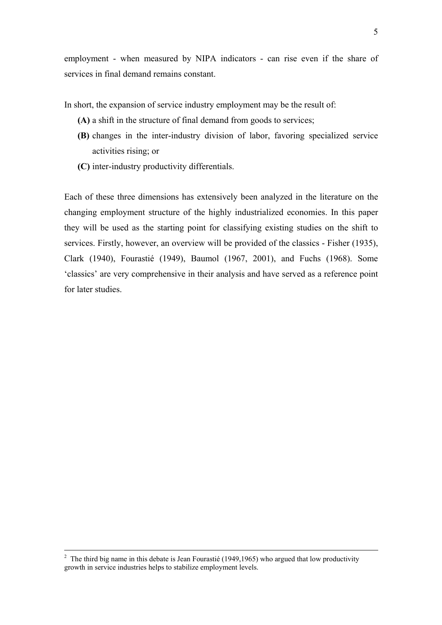employment - when measured by NIPA indicators - can rise even if the share of services in final demand remains constant.

In short, the expansion of service industry employment may be the result of:

- **(A)** a shift in the structure of final demand from goods to services;
- **(B)** changes in the inter-industry division of labor, favoring specialized service activities rising; or
- **(C)** inter-industry productivity differentials.

Each of these three dimensions has extensively been analyzed in the literature on the changing employment structure of the highly industrialized economies. In this paper they will be used as the starting point for classifying existing studies on the shift to services. Firstly, however, an overview will be provided of the classics - Fisher (1935), Clark (1940), Fourastié (1949), Baumol (1967, 2001), and Fuchs (1968). Some 'classics' are very comprehensive in their analysis and have served as a reference point for later studies.

 $\frac{1}{2}$ <sup>2</sup> The third big name in this debate is Jean Fourastié (1949,1965) who argued that low productivity growth in service industries helps to stabilize employment levels.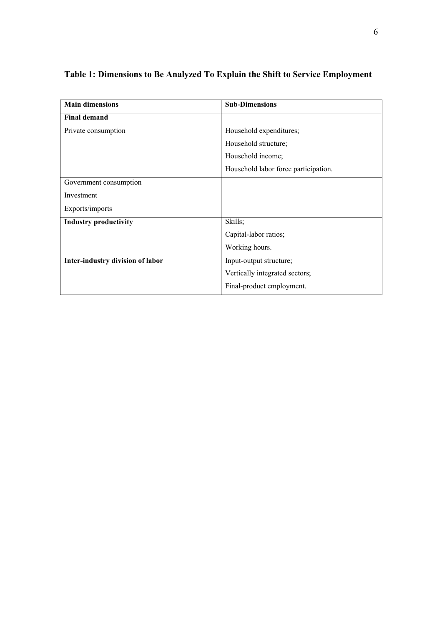| <b>Main dimensions</b>           | <b>Sub-Dimensions</b>                |
|----------------------------------|--------------------------------------|
| <b>Final demand</b>              |                                      |
| Private consumption              | Household expenditures;              |
|                                  | Household structure;                 |
|                                  | Household income;                    |
|                                  | Household labor force participation. |
| Government consumption           |                                      |
| Investment                       |                                      |
| Exports/imports                  |                                      |
| <b>Industry productivity</b>     | Skills;                              |
|                                  | Capital-labor ratios;                |
|                                  | Working hours.                       |
| Inter-industry division of labor | Input-output structure;              |
|                                  | Vertically integrated sectors;       |
|                                  | Final-product employment.            |

## **Table 1: Dimensions to Be Analyzed To Explain the Shift to Service Employment**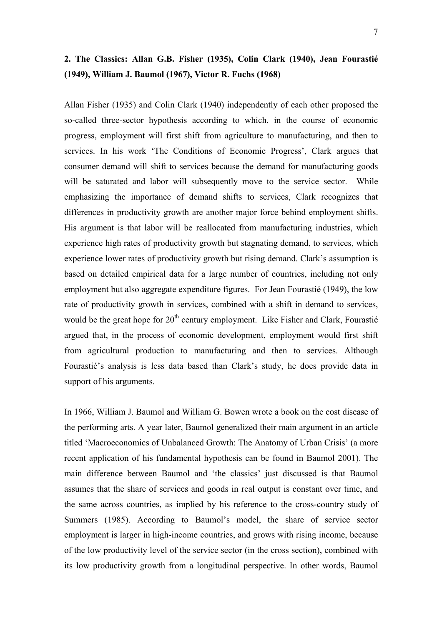## **2. The Classics: Allan G.B. Fisher (1935), Colin Clark (1940), Jean Fourastié (1949), William J. Baumol (1967), Victor R. Fuchs (1968)**

Allan Fisher (1935) and Colin Clark (1940) independently of each other proposed the so-called three-sector hypothesis according to which, in the course of economic progress, employment will first shift from agriculture to manufacturing, and then to services. In his work 'The Conditions of Economic Progress', Clark argues that consumer demand will shift to services because the demand for manufacturing goods will be saturated and labor will subsequently move to the service sector. While emphasizing the importance of demand shifts to services, Clark recognizes that differences in productivity growth are another major force behind employment shifts. His argument is that labor will be reallocated from manufacturing industries, which experience high rates of productivity growth but stagnating demand, to services, which experience lower rates of productivity growth but rising demand. Clark's assumption is based on detailed empirical data for a large number of countries, including not only employment but also aggregate expenditure figures. For Jean Fourastié (1949), the low rate of productivity growth in services, combined with a shift in demand to services, would be the great hope for  $20<sup>th</sup>$  century employment. Like Fisher and Clark, Fourastié argued that, in the process of economic development, employment would first shift from agricultural production to manufacturing and then to services. Although Fourastié's analysis is less data based than Clark's study, he does provide data in support of his arguments.

In 1966, William J. Baumol and William G. Bowen wrote a book on the cost disease of the performing arts. A year later, Baumol generalized their main argument in an article titled 'Macroeconomics of Unbalanced Growth: The Anatomy of Urban Crisis' (a more recent application of his fundamental hypothesis can be found in Baumol 2001). The main difference between Baumol and 'the classics' just discussed is that Baumol assumes that the share of services and goods in real output is constant over time, and the same across countries, as implied by his reference to the cross-country study of Summers (1985). According to Baumol's model, the share of service sector employment is larger in high-income countries, and grows with rising income, because of the low productivity level of the service sector (in the cross section), combined with its low productivity growth from a longitudinal perspective. In other words, Baumol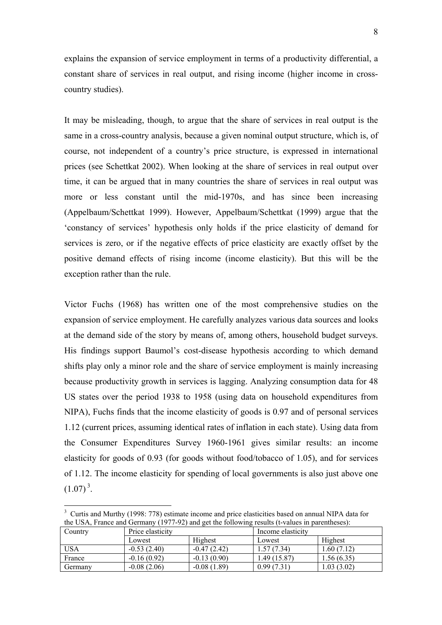explains the expansion of service employment in terms of a productivity differential, a constant share of services in real output, and rising income (higher income in crosscountry studies).

It may be misleading, though, to argue that the share of services in real output is the same in a cross-country analysis, because a given nominal output structure, which is, of course, not independent of a country's price structure, is expressed in international prices (see Schettkat 2002). When looking at the share of services in real output over time, it can be argued that in many countries the share of services in real output was more or less constant until the mid-1970s, and has since been increasing (Appelbaum/Schettkat 1999). However, Appelbaum/Schettkat (1999) argue that the 'constancy of services' hypothesis only holds if the price elasticity of demand for services is zero, or if the negative effects of price elasticity are exactly offset by the positive demand effects of rising income (income elasticity). But this will be the exception rather than the rule.

Victor Fuchs (1968) has written one of the most comprehensive studies on the expansion of service employment. He carefully analyzes various data sources and looks at the demand side of the story by means of, among others, household budget surveys. His findings support Baumol's cost-disease hypothesis according to which demand shifts play only a minor role and the share of service employment is mainly increasing because productivity growth in services is lagging. Analyzing consumption data for 48 US states over the period 1938 to 1958 (using data on household expenditures from NIPA), Fuchs finds that the income elasticity of goods is 0.97 and of personal services 1.12 (current prices, assuming identical rates of inflation in each state). Using data from the Consumer Expenditures Survey 1960-1961 gives similar results: an income elasticity for goods of 0.93 (for goods without food/tobacco of 1.05), and for services of 1.12. The income elasticity for spending of local governments is also just above one  $(1.07)^3$ .

 $\overline{a}$ 

| Country | Price elasticity |               | Income elasticity |             |  |
|---------|------------------|---------------|-------------------|-------------|--|
|         | Lowest           | Highest       | Lowest            | Highest     |  |
| USA     | $-0.53(2.40)$    | $-0.47(2.42)$ | 1.57 (7.34)       | 1.60 (7.12) |  |
| France  | $-0.16(0.92)$    | $-0.13(0.90)$ | .49 (15.87)       | 1.56 (6.35) |  |
| Germany | $-0.08(2.06)$    | $-0.08(1.89)$ | 0.99(7.31)        | 1.03(3.02)  |  |

<sup>&</sup>lt;sup>3</sup> Curtis and Murthy (1998: 778) estimate income and price elasticities based on annual NIPA data for the USA, France and Germany (1977-92) and get the following results (t-values in parentheses):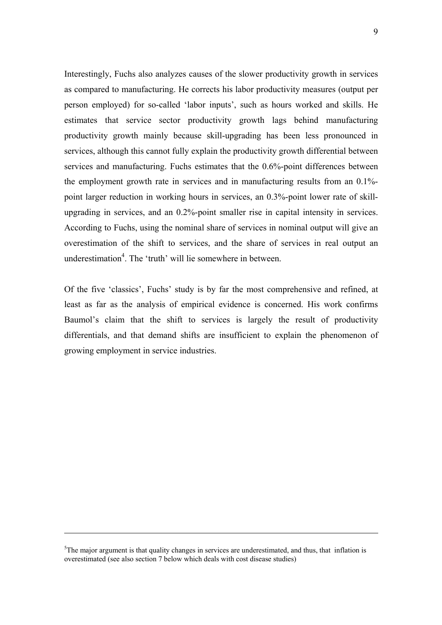Interestingly, Fuchs also analyzes causes of the slower productivity growth in services as compared to manufacturing. He corrects his labor productivity measures (output per person employed) for so-called 'labor inputs', such as hours worked and skills. He estimates that service sector productivity growth lags behind manufacturing productivity growth mainly because skill-upgrading has been less pronounced in services, although this cannot fully explain the productivity growth differential between services and manufacturing. Fuchs estimates that the 0.6%-point differences between the employment growth rate in services and in manufacturing results from an 0.1% point larger reduction in working hours in services, an 0.3%-point lower rate of skillupgrading in services, and an 0.2%-point smaller rise in capital intensity in services. According to Fuchs, using the nominal share of services in nominal output will give an overestimation of the shift to services, and the share of services in real output an underestimation<sup>4</sup>. The 'truth' will lie somewhere in between.

Of the five 'classics', Fuchs' study is by far the most comprehensive and refined, at least as far as the analysis of empirical evidence is concerned. His work confirms Baumol's claim that the shift to services is largely the result of productivity differentials, and that demand shifts are insufficient to explain the phenomenon of growing employment in service industries.

<u>.</u>

<sup>&</sup>lt;sup>5</sup>The major argument is that quality changes in services are underestimated, and thus, that inflation is overestimated (see also section 7 below which deals with cost disease studies)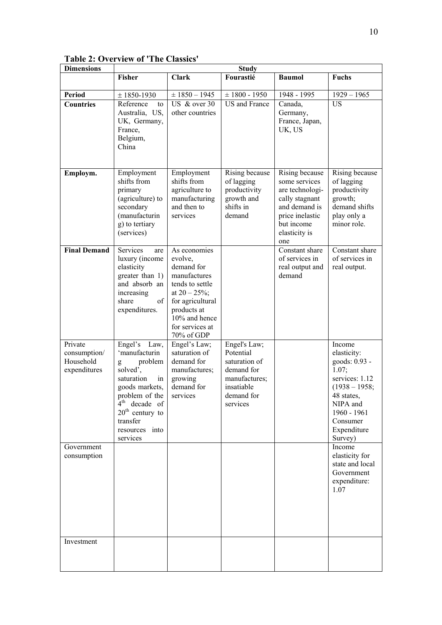## **Table 2: Overview of 'The Classics'**

| <b>Dimensions</b>                                                  |                                                                                                                                                                                                        |                                                                                                                                                                                   | <b>Study</b>                                                                                                      |                                                                                                                                                |                                                                                                                                                                               |
|--------------------------------------------------------------------|--------------------------------------------------------------------------------------------------------------------------------------------------------------------------------------------------------|-----------------------------------------------------------------------------------------------------------------------------------------------------------------------------------|-------------------------------------------------------------------------------------------------------------------|------------------------------------------------------------------------------------------------------------------------------------------------|-------------------------------------------------------------------------------------------------------------------------------------------------------------------------------|
|                                                                    | <b>Fisher</b>                                                                                                                                                                                          | <b>Clark</b>                                                                                                                                                                      | Fourastié                                                                                                         | <b>Baumol</b>                                                                                                                                  | <b>Fuchs</b>                                                                                                                                                                  |
| <b>Period</b>                                                      | $±$ 1850-1930                                                                                                                                                                                          | $±$ 1850 - 1945                                                                                                                                                                   | $± 1800 - 1950$                                                                                                   | 1948 - 1995                                                                                                                                    | $1929 - 1965$                                                                                                                                                                 |
| <b>Countries</b>                                                   | Reference<br>to<br>Australia, US,<br>UK, Germany,<br>France,<br>Belgium,<br>China                                                                                                                      | US & over $30$<br>other countries                                                                                                                                                 | <b>US</b> and France                                                                                              | Canada,<br>Germany,<br>France, Japan,<br>UK, US                                                                                                | <b>US</b>                                                                                                                                                                     |
| Employm.                                                           | Employment<br>shifts from<br>primary<br>(agriculture) to<br>secondary<br>(manufacturin<br>g) to tertiary<br>(services)                                                                                 | Employment<br>shifts from<br>agriculture to<br>manufacturing<br>and then to<br>services                                                                                           | Rising because<br>of lagging<br>productivity<br>growth and<br>shifts in<br>demand                                 | Rising because<br>some services<br>are technologi-<br>cally stagnant<br>and demand is<br>price inelastic<br>but income<br>elasticity is<br>one | Rising because<br>of lagging<br>productivity<br>growth;<br>demand shifts<br>play only a<br>minor role.                                                                        |
| <b>Final Demand</b>                                                | Services<br>are<br>luxury (income<br>elasticity<br>greater than 1)<br>and absorb an<br>increasing<br>share<br>of<br>expenditures.                                                                      | As economies<br>evolve,<br>demand for<br>manufactures<br>tends to settle<br>at $20 - 25\%$ ;<br>for agricultural<br>products at<br>10% and hence<br>for services at<br>70% of GDP |                                                                                                                   | Constant share<br>of services in<br>real output and<br>demand                                                                                  | Constant share<br>of services in<br>real output.                                                                                                                              |
| Private<br>consumption/<br>Household<br>expenditures<br>Government | Engel's<br>Law,<br>'manufacturin<br>problem<br>g<br>solved'.<br>saturation<br>in<br>goods markets,<br>problem of the<br>$4th$ decade of<br>$20th$ century to<br>transfer<br>resources into<br>services | Engel's Law;<br>saturation of<br>demand for<br>manufactures;<br>growing<br>demand for<br>services                                                                                 | Engel's Law;<br>Potential<br>saturation of<br>demand for<br>manufactures;<br>insatiable<br>demand for<br>services |                                                                                                                                                | Income<br>elasticity:<br>goods: 0.93 -<br>1.07:<br>services: 1.12<br>$(1938 - 1958)$<br>48 states.<br>NIPA and<br>1960 - 1961<br>Consumer<br>Expenditure<br>Survey)<br>Income |
| consumption                                                        |                                                                                                                                                                                                        |                                                                                                                                                                                   |                                                                                                                   |                                                                                                                                                | elasticity for<br>state and local<br>Government<br>expenditure:<br>1.07                                                                                                       |
| Investment                                                         |                                                                                                                                                                                                        |                                                                                                                                                                                   |                                                                                                                   |                                                                                                                                                |                                                                                                                                                                               |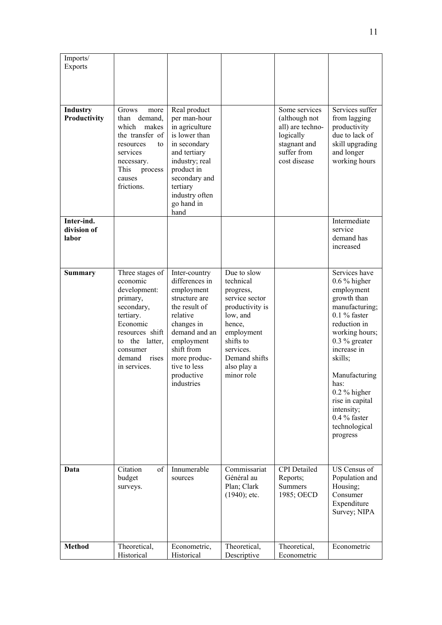| Imports/<br>Exports                |                                                                                                                                                                                       |                                                                                                                                                                                                                    |                                                                                                                                                                                       |                                                                                                                |                                                                                                                                                                                                                                                                                                            |
|------------------------------------|---------------------------------------------------------------------------------------------------------------------------------------------------------------------------------------|--------------------------------------------------------------------------------------------------------------------------------------------------------------------------------------------------------------------|---------------------------------------------------------------------------------------------------------------------------------------------------------------------------------------|----------------------------------------------------------------------------------------------------------------|------------------------------------------------------------------------------------------------------------------------------------------------------------------------------------------------------------------------------------------------------------------------------------------------------------|
| Industry<br>Productivity           | Grows<br>more<br>demand.<br>than<br>which<br>makes<br>the transfer of<br>resources<br>to<br>services<br>necessary.<br>This<br>process<br>causes<br>frictions.                         | Real product<br>per man-hour<br>in agriculture<br>is lower than<br>in secondary<br>and tertiary<br>industry; real<br>product in<br>secondary and<br>tertiary<br>industry often<br>go hand in<br>hand               |                                                                                                                                                                                       | Some services<br>(although not<br>all) are techno-<br>logically<br>stagnant and<br>suffer from<br>cost disease | Services suffer<br>from lagging<br>productivity<br>due to lack of<br>skill upgrading<br>and longer<br>working hours                                                                                                                                                                                        |
| Inter-ind.<br>division of<br>labor |                                                                                                                                                                                       |                                                                                                                                                                                                                    |                                                                                                                                                                                       |                                                                                                                | Intermediate<br>service<br>demand has<br>increased                                                                                                                                                                                                                                                         |
| <b>Summary</b>                     | Three stages of<br>economic<br>development:<br>primary,<br>secondary,<br>tertiary.<br>Economic<br>resources shift<br>the latter,<br>to<br>consumer<br>demand<br>rises<br>in services. | Inter-country<br>differences in<br>employment<br>structure are<br>the result of<br>relative<br>changes in<br>demand and an<br>employment<br>shift from<br>more produc-<br>tive to less<br>productive<br>industries | Due to slow<br>technical<br>progress,<br>service sector<br>productivity is<br>low, and<br>hence,<br>employment<br>shifts to<br>services<br>Demand shifts<br>also play a<br>minor role |                                                                                                                | Services have<br>$0.6\%$ higher<br>employment<br>growth than<br>manufacturing;<br>$0.1\%$ faster<br>reduction in<br>working hours;<br>$0.3\%$ greater<br>increase in<br>skills;<br>Manufacturing<br>has:<br>$0.2\%$ higher<br>rise in capital<br>intensity;<br>$0.4\%$ faster<br>technological<br>progress |
| Data                               | Citation<br>of<br>budget<br>surveys.                                                                                                                                                  | Innumerable<br>sources                                                                                                                                                                                             | Commissariat<br>Général au<br>Plan; Clark<br>$(1940)$ ; etc.                                                                                                                          | <b>CPI</b> Detailed<br>Reports;<br><b>Summers</b><br>1985; OECD                                                | US Census of<br>Population and<br>Housing;<br>Consumer<br>Expenditure<br>Survey; NIPA                                                                                                                                                                                                                      |
| <b>Method</b>                      | Theoretical,<br>Historical                                                                                                                                                            | Econometric,<br>Historical                                                                                                                                                                                         | Theoretical,<br>Descriptive                                                                                                                                                           | Theoretical,<br>Econometric                                                                                    | Econometric                                                                                                                                                                                                                                                                                                |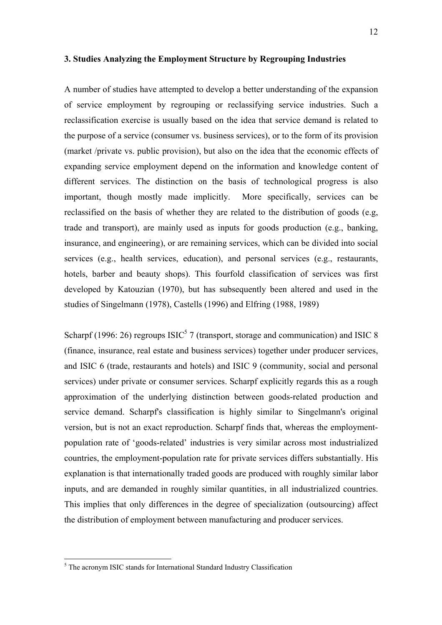#### **3. Studies Analyzing the Employment Structure by Regrouping Industries**

A number of studies have attempted to develop a better understanding of the expansion of service employment by regrouping or reclassifying service industries. Such a reclassification exercise is usually based on the idea that service demand is related to the purpose of a service (consumer vs. business services), or to the form of its provision (market /private vs. public provision), but also on the idea that the economic effects of expanding service employment depend on the information and knowledge content of different services. The distinction on the basis of technological progress is also important, though mostly made implicitly. More specifically, services can be reclassified on the basis of whether they are related to the distribution of goods (e.g, trade and transport), are mainly used as inputs for goods production (e.g., banking, insurance, and engineering), or are remaining services, which can be divided into social services (e.g., health services, education), and personal services (e.g., restaurants, hotels, barber and beauty shops). This fourfold classification of services was first developed by Katouzian (1970), but has subsequently been altered and used in the studies of Singelmann (1978), Castells (1996) and Elfring (1988, 1989)

Scharpf (1996: 26) regroups  $ISIC<sup>5</sup>$  7 (transport, storage and communication) and ISIC 8 (finance, insurance, real estate and business services) together under producer services, and ISIC 6 (trade, restaurants and hotels) and ISIC 9 (community, social and personal services) under private or consumer services. Scharpf explicitly regards this as a rough approximation of the underlying distinction between goods-related production and service demand. Scharpf's classification is highly similar to Singelmann's original version, but is not an exact reproduction. Scharpf finds that, whereas the employmentpopulation rate of 'goods-related' industries is very similar across most industrialized countries, the employment-population rate for private services differs substantially. His explanation is that internationally traded goods are produced with roughly similar labor inputs, and are demanded in roughly similar quantities, in all industrialized countries. This implies that only differences in the degree of specialization (outsourcing) affect the distribution of employment between manufacturing and producer services.

 5 The acronym ISIC stands for International Standard Industry Classification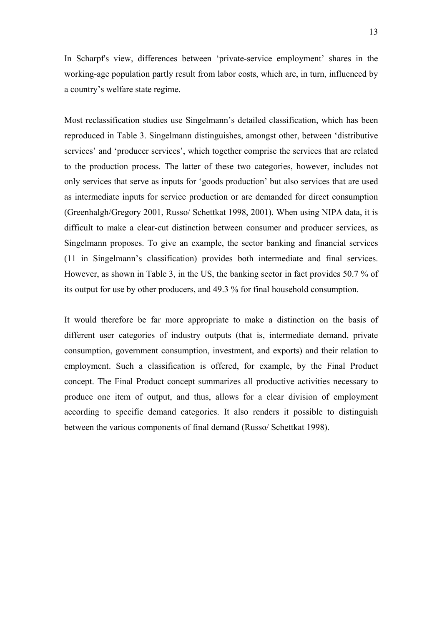In Scharpf's view, differences between 'private-service employment' shares in the working-age population partly result from labor costs, which are, in turn, influenced by a country's welfare state regime.

Most reclassification studies use Singelmann's detailed classification, which has been reproduced in Table 3. Singelmann distinguishes, amongst other, between 'distributive services' and 'producer services', which together comprise the services that are related to the production process. The latter of these two categories, however, includes not only services that serve as inputs for 'goods production' but also services that are used as intermediate inputs for service production or are demanded for direct consumption (Greenhalgh/Gregory 2001, Russo/ Schettkat 1998, 2001). When using NIPA data, it is difficult to make a clear-cut distinction between consumer and producer services, as Singelmann proposes. To give an example, the sector banking and financial services (11 in Singelmann's classification) provides both intermediate and final services. However, as shown in Table 3, in the US, the banking sector in fact provides 50.7 % of its output for use by other producers, and 49.3 % for final household consumption.

It would therefore be far more appropriate to make a distinction on the basis of different user categories of industry outputs (that is, intermediate demand, private consumption, government consumption, investment, and exports) and their relation to employment. Such a classification is offered, for example, by the Final Product concept. The Final Product concept summarizes all productive activities necessary to produce one item of output, and thus, allows for a clear division of employment according to specific demand categories. It also renders it possible to distinguish between the various components of final demand (Russo/ Schettkat 1998).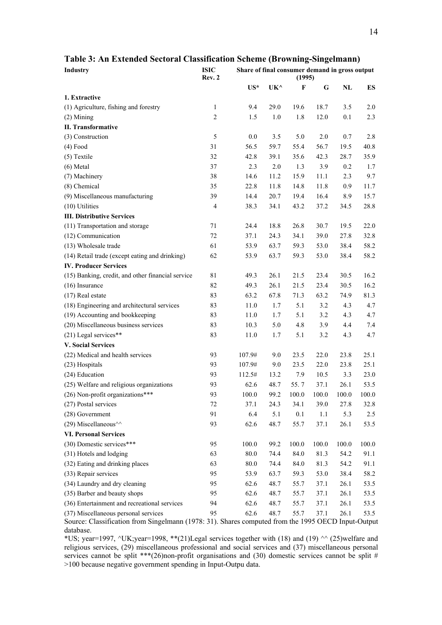| Industry                                          | <b>ISIC</b><br>Rev. 2 | Share of final consumer demand in gross output<br>(1995) |      |             |       |       |       |
|---------------------------------------------------|-----------------------|----------------------------------------------------------|------|-------------|-------|-------|-------|
|                                                   |                       | $US^*$                                                   | UK^  | $\mathbf F$ | G     | NL    | ES    |
| 1. Extractive                                     |                       |                                                          |      |             |       |       |       |
| (1) Agriculture, fishing and forestry             | $\mathbf{1}$          | 9.4                                                      | 29.0 | 19.6        | 18.7  | 3.5   | 2.0   |
| $(2)$ Mining                                      | $\overline{c}$        | 1.5                                                      | 1.0  | 1.8         | 12.0  | 0.1   | 2.3   |
| <b>II. Transformative</b>                         |                       |                                                          |      |             |       |       |       |
| (3) Construction                                  | 5                     | 0.0                                                      | 3.5  | 5.0         | 2.0   | 0.7   | 2.8   |
| $(4)$ Food                                        | 31                    | 56.5                                                     | 59.7 | 55.4        | 56.7  | 19.5  | 40.8  |
| (5) Textile                                       | 32                    | 42.8                                                     | 39.1 | 35.6        | 42.3  | 28.7  | 35.9  |
| $(6)$ Metal                                       | 37                    | 2.3                                                      | 2.0  | 1.3         | 3.9   | 0.2   | 1.7   |
| (7) Machinery                                     | 38                    | 14.6                                                     | 11.2 | 15.9        | 11.1  | 2.3   | 9.7   |
| (8) Chemical                                      | 35                    | 22.8                                                     | 11.8 | 14.8        | 11.8  | 0.9   | 11.7  |
| (9) Miscellaneous manufacturing                   | 39                    | 14.4                                                     | 20.7 | 19.4        | 16.4  | 8.9   | 15.7  |
| (10) Utilities                                    | $\overline{4}$        | 38.3                                                     | 34.1 | 43.2        | 37.2  | 34.5  | 28.8  |
| <b>III. Distributive Services</b>                 |                       |                                                          |      |             |       |       |       |
| (11) Transportation and storage                   | 71                    | 24.4                                                     | 18.8 | 26.8        | 30.7  | 19.5  | 22.0  |
| (12) Communication                                | 72                    | 37.1                                                     | 24.3 | 34.1        | 39.0  | 27.8  | 32.8  |
| (13) Wholesale trade                              | 61                    | 53.9                                                     | 63.7 | 59.3        | 53.0  | 38.4  | 58.2  |
| (14) Retail trade (except eating and drinking)    | 62                    | 53.9                                                     | 63.7 | 59.3        | 53.0  | 38.4  | 58.2  |
| <b>IV. Producer Services</b>                      |                       |                                                          |      |             |       |       |       |
| (15) Banking, credit, and other financial service | 81                    | 49.3                                                     | 26.1 | 21.5        | 23.4  | 30.5  | 16.2  |
| $(16)$ Insurance                                  | 82                    | 49.3                                                     | 26.1 | 21.5        | 23.4  | 30.5  | 16.2  |
| $(17)$ Real estate                                | 83                    | 63.2                                                     | 67.8 | 71.3        | 63.2  | 74.9  | 81.3  |
| (18) Engineering and architectural services       | 83                    | 11.0                                                     | 1.7  | 5.1         | 3.2   | 4.3   | 4.7   |
| (19) Accounting and bookkeeping                   | 83                    | 11.0                                                     | 1.7  | 5.1         | 3.2   | 4.3   | 4.7   |
| (20) Miscellaneous business services              | 83                    | 10.3                                                     | 5.0  | 4.8         | 3.9   | 4.4   | 7.4   |
| (21) Legal services**                             | 83                    | 11.0                                                     | 1.7  | 5.1         | 3.2   | 4.3   | 4.7   |
| <b>V. Social Services</b>                         |                       |                                                          |      |             |       |       |       |
| (22) Medical and health services                  | 93                    | 107.9#                                                   | 9.0  | 23.5        | 22.0  | 23.8  | 25.1  |
| (23) Hospitals                                    | 93                    | 107.9#                                                   | 9.0  | 23.5        | 22.0  | 23.8  | 25.1  |
| (24) Education                                    | 93                    | 112.5#                                                   | 13.2 | 7.9         | 10.5  | 3.3   | 23.0  |
| (25) Welfare and religious organizations          | 93                    | 62.6                                                     | 48.7 | 55.7        | 37.1  | 26.1  | 53.5  |
| $(26)$ Non-profit organizations***                | 93                    | 100.0                                                    | 99.2 | 100.0       | 100.0 | 100.0 | 100.0 |
| (27) Postal services                              | 72                    | 37.1                                                     | 24.3 | 34.1        | 39.0  | 27.8  | 32.8  |
| (28) Government                                   | 91                    | 6.4                                                      | 5.1  | $0.1\,$     | 1.1   | 5.3   | 2.5   |
| (29) Miscellaneous <sup>^^</sup>                  | 93                    | 62.6                                                     | 48.7 | 55.7        | 37.1  | 26.1  | 53.5  |
| <b>VI. Personal Services</b>                      |                       |                                                          |      |             |       |       |       |
| (30) Domestic services***                         | 95                    | 100.0                                                    | 99.2 | 100.0       | 100.0 | 100.0 | 100.0 |
| (31) Hotels and lodging                           | 63                    | 80.0                                                     | 74.4 | 84.0        | 81.3  | 54.2  | 91.1  |
| (32) Eating and drinking places                   | 63                    | 80.0                                                     | 74.4 | 84.0        | 81.3  | 54.2  | 91.1  |
| (33) Repair services                              | 95                    | 53.9                                                     | 63.7 | 59.3        | 53.0  | 38.4  | 58.2  |
| (34) Laundry and dry cleaning                     | 95                    | 62.6                                                     | 48.7 | 55.7        | 37.1  | 26.1  | 53.5  |
| (35) Barber and beauty shops                      | 95                    | 62.6                                                     | 48.7 | 55.7        | 37.1  | 26.1  | 53.5  |
| (36) Entertainment and recreational services      | 94                    | 62.6                                                     | 48.7 | 55.7        | 37.1  | 26.1  | 53.5  |
| (37) Miscellaneous personal services              | 95                    | 62.6                                                     | 48.7 | 55.7        | 37.1  | 26.1  | 53.5  |

#### **Table 3: An Extended Sectoral Classification Scheme (Browning-Singelmann)**

Source: Classification from Singelmann (1978: 31). Shares computed from the 1995 OECD Input-Output database. \*US; year=1997,  $\text{VTK}$ ; year=1998, \*\*(21)Legal services together with (18) and (19)  $\text{O}(25)$ welfare and

religious services, (29) miscellaneous professional and social services and (37) miscellaneous personal services cannot be split \*\*\*(26)non-profit organisations and (30) domestic services cannot be split # >100 because negative government spending in Input-Outpu data.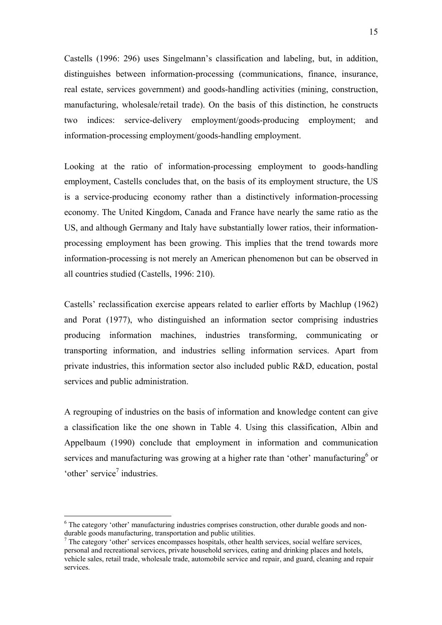Castells (1996: 296) uses Singelmann's classification and labeling, but, in addition, distinguishes between information-processing (communications, finance, insurance, real estate, services government) and goods-handling activities (mining, construction, manufacturing, wholesale/retail trade). On the basis of this distinction, he constructs two indices: service-delivery employment/goods-producing employment; and information-processing employment/goods-handling employment.

Looking at the ratio of information-processing employment to goods-handling employment, Castells concludes that, on the basis of its employment structure, the US is a service-producing economy rather than a distinctively information-processing economy. The United Kingdom, Canada and France have nearly the same ratio as the US, and although Germany and Italy have substantially lower ratios, their informationprocessing employment has been growing. This implies that the trend towards more information-processing is not merely an American phenomenon but can be observed in all countries studied (Castells, 1996: 210).

Castells' reclassification exercise appears related to earlier efforts by Machlup (1962) and Porat (1977), who distinguished an information sector comprising industries producing information machines, industries transforming, communicating or transporting information, and industries selling information services. Apart from private industries, this information sector also included public R&D, education, postal services and public administration.

A regrouping of industries on the basis of information and knowledge content can give a classification like the one shown in Table 4. Using this classification, Albin and Appelbaum (1990) conclude that employment in information and communication services and manufacturing was growing at a higher rate than 'other' manufacturing or 'other' service<sup>7</sup> industries.

 $\overline{a}$ 

<sup>&</sup>lt;sup>6</sup> The category 'other' manufacturing industries comprises construction, other durable goods and nondurable goods manufacturing, transportation and public utilities.

<sup>&</sup>lt;sup>7</sup> The category 'other' services encompasses hospitals, other health services, social welfare services, personal and recreational services, private household services, eating and drinking places and hotels, vehicle sales, retail trade, wholesale trade, automobile service and repair, and guard, cleaning and repair services.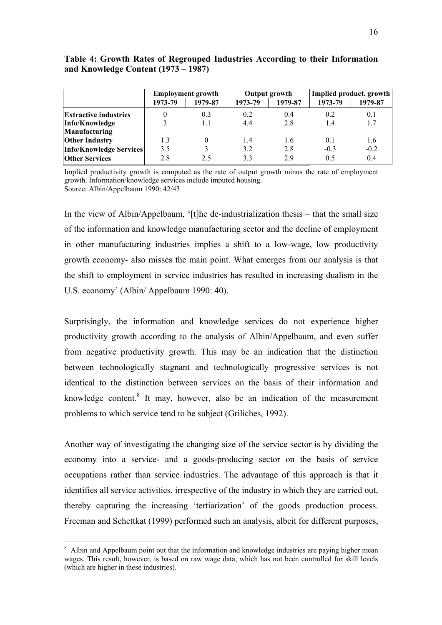|                                | <b>Employment growth</b> |          |         | Output growth | Implied product. growth |         |  |
|--------------------------------|--------------------------|----------|---------|---------------|-------------------------|---------|--|
|                                | 1973-79                  | 1979-87  | 1973-79 | 1979-87       | 1973-79                 | 1979-87 |  |
| <b>Extractive industries</b>   |                          | 0.3      | 0.2     | 0.4           | 0.2                     | 0.1     |  |
| Info/Knowledge                 |                          | 1.1      | 4.4     | 2.8           | 1.4                     | 1.7     |  |
| <b>Manufacturing</b>           |                          |          |         |               |                         |         |  |
| <b>Other Industry</b>          | 1.3                      | $\Omega$ | 1.4     | 1.6           | 0.1                     | 1.6     |  |
| <b>Info/Knowledge Services</b> | 3.5                      |          | 3.2     | 2.8           | $-0.3$                  | $-0.2$  |  |
| <b>Other Services</b>          | 2.8                      | 2.5      | 3.3     | 29            | 0.5                     | 0.4     |  |

#### **Table 4: Growth Rates of Regrouped Industries According to their Information and Knowledge Content (1973 – 1987)**

Implied productivity growth is computed as the rate of output growth minus the rate of employment growth. Information/knowledge services include imputed housing. Source: Albin/Appelbaum 1990: 42/43

In the view of Albin/Appelbaum, '[t]he de-industrialization thesis – that the small size of the information and knowledge manufacturing sector and the decline of employment in other manufacturing industries implies a shift to a low-wage, low productivity growth economy- also misses the main point. What emerges from our analysis is that the shift to employment in service industries has resulted in increasing dualism in the U.S. economy' (Albin/ Appelbaum 1990: 40).

Surprisingly, the information and knowledge services do not experience higher productivity growth according to the analysis of Albin/Appelbaum, and even suffer from negative productivity growth. This may be an indication that the distinction between technologically stagnant and technologically progressive services is not identical to the distinction between services on the basis of their information and knowledge content. $8$  It may, however, also be an indication of the measurement problems to which service tend to be subject (Griliches, 1992).

Another way of investigating the changing size of the service sector is by dividing the economy into a service- and a goods-producing sector on the basis of service occupations rather than service industries. The advantage of this approach is that it identifies all service activities, irrespective of the industry in which they are carried out, thereby capturing the increasing 'tertiarization' of the goods production process. Freeman and Schettkat (1999) performed such an analysis, albeit for different purposes,

 $\overline{a}$ 

<sup>&</sup>lt;sup>8</sup> Albin and Appelbaum point out that the information and knowledge industries are paying higher mean wages. This result, however, is based on raw wage data, which has not been controlled for skill levels (which are higher in these industries).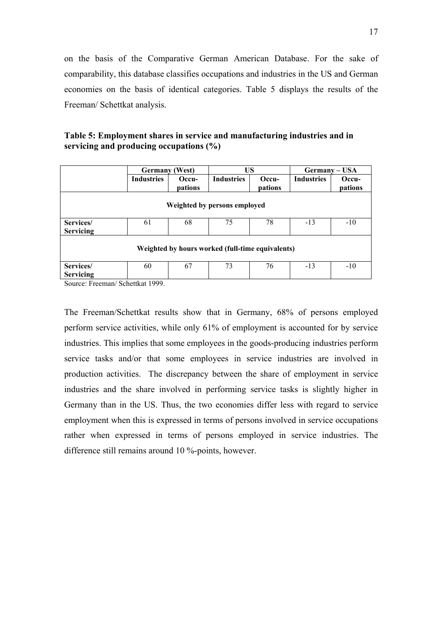on the basis of the Comparative German American Database. For the sake of comparability, this database classifies occupations and industries in the US and German economies on the basis of identical categories. Table 5 displays the results of the Freeman/ Schettkat analysis.

**Table 5: Employment shares in service and manufacturing industries and in servicing and producing occupations (%)** 

|                                                  | Germany           | (West)           | <b>US</b>                    |                  | Germany – USA     |                  |  |  |
|--------------------------------------------------|-------------------|------------------|------------------------------|------------------|-------------------|------------------|--|--|
|                                                  | <b>Industries</b> | Occu-<br>pations | <b>Industries</b>            | Occu-<br>pations | <b>Industries</b> | Occu-<br>pations |  |  |
|                                                  |                   |                  | Weighted by persons employed |                  |                   |                  |  |  |
| Services/<br><b>Servicing</b>                    | 61                | 68               | 75                           | 78               | $-13$             | $-10$            |  |  |
| Weighted by hours worked (full-time equivalents) |                   |                  |                              |                  |                   |                  |  |  |
| Services/                                        | 60                | 67               | 73                           | 76               | $-13$             | $-10$            |  |  |
| <b>Servicing</b>                                 |                   |                  |                              |                  |                   |                  |  |  |
| Source: Freeman/Schettkat 1999                   |                   |                  |                              |                  |                   |                  |  |  |

Source: Freeman/ Schettkat 1999.

The Freeman/Schettkat results show that in Germany, 68% of persons employed perform service activities, while only 61% of employment is accounted for by service industries. This implies that some employees in the goods-producing industries perform service tasks and/or that some employees in service industries are involved in production activities. The discrepancy between the share of employment in service industries and the share involved in performing service tasks is slightly higher in Germany than in the US. Thus, the two economies differ less with regard to service employment when this is expressed in terms of persons involved in service occupations rather when expressed in terms of persons employed in service industries. The difference still remains around 10 %-points, however.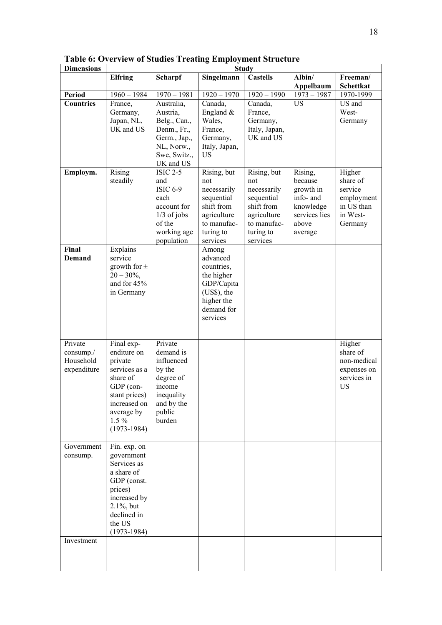| <b>Dimensions</b>                                   |                                                                                                                                                              |                                                                                                                          |                                                                                                                         | <b>Study</b>                                                                                                         |                                                                                                |                                                                                  |
|-----------------------------------------------------|--------------------------------------------------------------------------------------------------------------------------------------------------------------|--------------------------------------------------------------------------------------------------------------------------|-------------------------------------------------------------------------------------------------------------------------|----------------------------------------------------------------------------------------------------------------------|------------------------------------------------------------------------------------------------|----------------------------------------------------------------------------------|
|                                                     | <b>Elfring</b>                                                                                                                                               | <b>Scharpf</b>                                                                                                           | Singelmann                                                                                                              | <b>Castells</b>                                                                                                      | Albin/                                                                                         | Freeman/                                                                         |
|                                                     |                                                                                                                                                              |                                                                                                                          |                                                                                                                         |                                                                                                                      | Appelbaum                                                                                      | Schettkat                                                                        |
| Period                                              | $1960 - 1984$                                                                                                                                                | $1970 - 1981$                                                                                                            | $1920 - 1970$                                                                                                           | $1920 - 1990$                                                                                                        | $1973 - 1987$                                                                                  | 1970-1999                                                                        |
| <b>Countries</b>                                    | France,<br>Germany,<br>Japan, NL,<br>UK and US                                                                                                               | Australia,<br>Austria,<br>Belg., Can.,<br>Denm., Fr.,<br>Germ., Jap.,<br>NL, Norw.,<br>Swe, Switz.,<br>UK and US         | Canada,<br>England $&$<br>Wales,<br>France,<br>Germany,<br>Italy, Japan,<br><b>US</b>                                   | Canada,<br>France,<br>Germany,<br>Italy, Japan,<br>UK and US                                                         | <b>US</b>                                                                                      | US and<br>West-<br>Germany                                                       |
| Employm.                                            | <b>Rising</b><br>steadily                                                                                                                                    | <b>ISIC 2-5</b><br>and<br><b>ISIC 6-9</b><br>each<br>account for<br>$1/3$ of jobs<br>of the<br>working age<br>population | Rising, but<br>not<br>necessarily<br>sequential<br>shift from<br>agriculture<br>to manufac-<br>turing to<br>services    | Rising, but<br>not<br>necessarily<br>sequential<br>shift from<br>agriculture<br>to manufac-<br>turing to<br>services | Rising,<br>because<br>growth in<br>info- and<br>knowledge<br>services lies<br>above<br>average | Higher<br>share of<br>service<br>employment<br>in US than<br>in West-<br>Germany |
| Final<br>Demand                                     | Explains<br>service<br>growth for $\pm$<br>$20 - 30\%,$<br>and for $45%$<br>in Germany                                                                       |                                                                                                                          | Among<br>advanced<br>countries,<br>the higher<br>GDP/Capita<br>$(US\$ {S}), the<br>higher the<br>demand for<br>services |                                                                                                                      |                                                                                                |                                                                                  |
| Private<br>$consump$ ./<br>Household<br>expenditure | Final exp-<br>enditure on<br>private<br>services as a<br>share of<br>GDP (con-<br>stant prices)<br>increased on<br>average by<br>$1.5\%$<br>$(1973-1984)$    | Private<br>demand is<br>influenced<br>by the<br>degree of<br>income<br>inequality<br>and by the<br>public<br>burden      |                                                                                                                         |                                                                                                                      |                                                                                                | Higher<br>share of<br>non-medical<br>expenses on<br>services in<br><b>US</b>     |
| Government<br>consump.                              | Fin. exp. on<br>government<br>Services as<br>a share of<br>GDP (const.<br>prices)<br>increased by<br>$2.1\%$ , but<br>declined in<br>the US<br>$(1973-1984)$ |                                                                                                                          |                                                                                                                         |                                                                                                                      |                                                                                                |                                                                                  |
| Investment                                          |                                                                                                                                                              |                                                                                                                          |                                                                                                                         |                                                                                                                      |                                                                                                |                                                                                  |
|                                                     |                                                                                                                                                              |                                                                                                                          |                                                                                                                         |                                                                                                                      |                                                                                                |                                                                                  |

**Table 6: Overview of Studies Treating Employment Structure**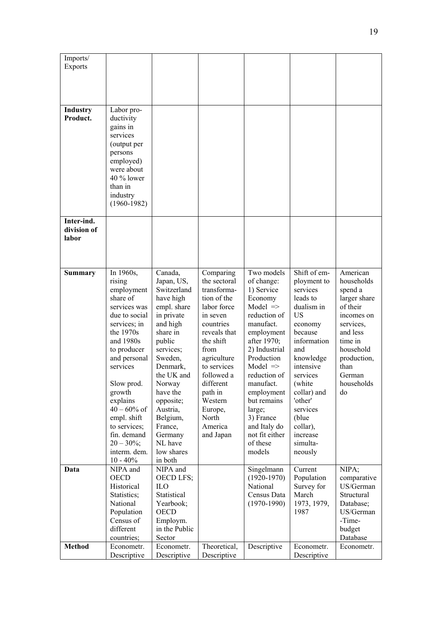| Imports/<br><b>Exports</b>  |                             |                          |                            |                                     |                        |                          |
|-----------------------------|-----------------------------|--------------------------|----------------------------|-------------------------------------|------------------------|--------------------------|
|                             |                             |                          |                            |                                     |                        |                          |
|                             |                             |                          |                            |                                     |                        |                          |
|                             |                             |                          |                            |                                     |                        |                          |
| <b>Industry</b><br>Product. | Labor pro-<br>ductivity     |                          |                            |                                     |                        |                          |
|                             | gains in                    |                          |                            |                                     |                        |                          |
|                             | services<br>(output per     |                          |                            |                                     |                        |                          |
|                             | persons                     |                          |                            |                                     |                        |                          |
|                             | employed)                   |                          |                            |                                     |                        |                          |
|                             | were about<br>40 % lower    |                          |                            |                                     |                        |                          |
|                             | than in                     |                          |                            |                                     |                        |                          |
|                             | industry                    |                          |                            |                                     |                        |                          |
|                             | $(1960 - 1982)$             |                          |                            |                                     |                        |                          |
| Inter-ind.                  |                             |                          |                            |                                     |                        |                          |
| division of                 |                             |                          |                            |                                     |                        |                          |
| labor                       |                             |                          |                            |                                     |                        |                          |
|                             |                             |                          |                            |                                     |                        |                          |
| <b>Summary</b>              | In 1960s,                   | Canada,                  | Comparing                  | Two models                          | Shift of em-           | American                 |
|                             | rising                      | Japan, US,               | the sectoral               | of change:                          | ployment to            | households               |
|                             | employment                  | Switzerland              | transforma-                | 1) Service                          | services               | spend a                  |
|                             | share of<br>services was    | have high<br>empl. share | tion of the<br>labor force | Economy<br>Model $\Rightarrow$      | leads to<br>dualism in | larger share<br>of their |
|                             | due to social               | in private               | in seven                   | reduction of                        | <b>US</b>              | incomes on               |
|                             | services; in                | and high                 | countries                  | manufact.                           | economy                | services,                |
|                             | the 1970s<br>and 1980s      | share in<br>public       | reveals that<br>the shift  | employment<br>after 1970;           | because<br>information | and less<br>time in      |
|                             | to producer                 | services;                | from                       | 2) Industrial                       | and                    | household                |
|                             | and personal                | Sweden,                  | agriculture                | Production                          | knowledge              | production,              |
|                             | services                    | Denmark,<br>the UK and   | to services<br>followed a  | Model $\Rightarrow$<br>reduction of | intensive<br>services  | than<br>German           |
|                             | Slow prod.                  | Norway                   | different                  | manufact.                           | (white)                | households               |
|                             | growth<br>explains          | have the<br>opposite;    | path in<br>Western         | employment<br>but remains           | collar) and<br>'other' | do                       |
|                             | $40 - 60\%$ of              | Austria,                 | Europe,                    | large;                              | services               |                          |
|                             | empl. shift                 | Belgium,                 | North                      | 3) France                           | (blue)                 |                          |
|                             | to services;<br>fin. demand | France,<br>Germany       | America<br>and Japan       | and Italy do<br>not fit either      | collar),<br>increase   |                          |
|                             | $20 - 30\%$ ;               | NL have                  |                            | of these                            | simulta-               |                          |
|                             | interm. dem.                | low shares               |                            | models                              | neously                |                          |
| Data                        | $10 - 40\%$<br>NIPA and     | in both<br>NIPA and      |                            | Singelmann                          | Current                | NIPA;                    |
|                             | <b>OECD</b>                 | <b>OECD LFS;</b>         |                            | $(1920 - 1970)$                     | Population             | comparative              |
|                             | Historical                  | ILO                      |                            | National                            | Survey for             | US/German                |
|                             | Statistics;<br>National     | Statistical<br>Yearbook; |                            | Census Data<br>$(1970-1990)$        | March<br>1973, 1979,   | Structural<br>Database;  |
|                             | Population                  | <b>OECD</b>              |                            |                                     | 1987                   | US/German                |
|                             | Census of                   | Employm.                 |                            |                                     |                        | -Time-                   |
|                             | different<br>countries;     | in the Public<br>Sector  |                            |                                     |                        | budget<br>Database       |
| <b>Method</b>               | Econometr.                  | Econometr.               | Theoretical,               | Descriptive                         | Econometr.             | Econometr.               |
|                             | Descriptive                 | Descriptive              | Descriptive                |                                     | Descriptive            |                          |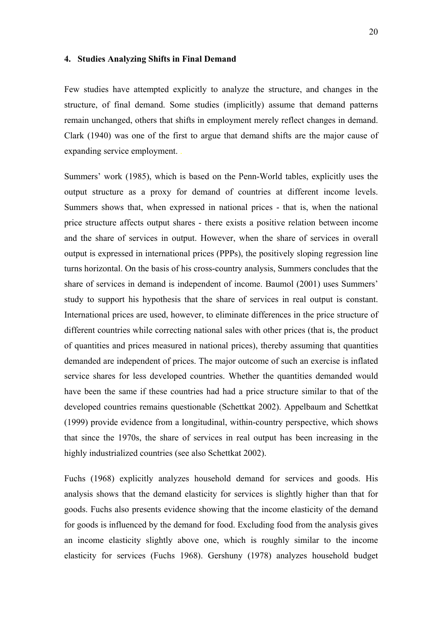#### **4. Studies Analyzing Shifts in Final Demand**

Few studies have attempted explicitly to analyze the structure, and changes in the structure, of final demand. Some studies (implicitly) assume that demand patterns remain unchanged, others that shifts in employment merely reflect changes in demand. Clark (1940) was one of the first to argue that demand shifts are the major cause of expanding service employment. .

Summers' work (1985), which is based on the Penn-World tables, explicitly uses the output structure as a proxy for demand of countries at different income levels. Summers shows that, when expressed in national prices - that is, when the national price structure affects output shares - there exists a positive relation between income and the share of services in output. However, when the share of services in overall output is expressed in international prices (PPPs), the positively sloping regression line turns horizontal. On the basis of his cross-country analysis, Summers concludes that the share of services in demand is independent of income. Baumol (2001) uses Summers' study to support his hypothesis that the share of services in real output is constant. International prices are used, however, to eliminate differences in the price structure of different countries while correcting national sales with other prices (that is, the product of quantities and prices measured in national prices), thereby assuming that quantities demanded are independent of prices. The major outcome of such an exercise is inflated service shares for less developed countries. Whether the quantities demanded would have been the same if these countries had had a price structure similar to that of the developed countries remains questionable (Schettkat 2002). Appelbaum and Schettkat (1999) provide evidence from a longitudinal, within-country perspective, which shows that since the 1970s, the share of services in real output has been increasing in the highly industrialized countries (see also Schettkat 2002).

Fuchs (1968) explicitly analyzes household demand for services and goods. His analysis shows that the demand elasticity for services is slightly higher than that for goods. Fuchs also presents evidence showing that the income elasticity of the demand for goods is influenced by the demand for food. Excluding food from the analysis gives an income elasticity slightly above one, which is roughly similar to the income elasticity for services (Fuchs 1968). Gershuny (1978) analyzes household budget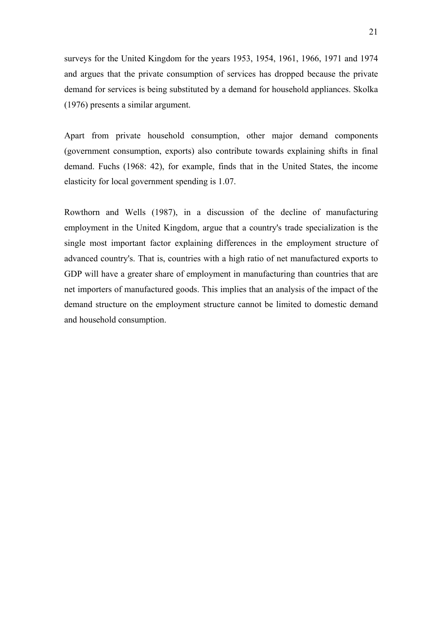surveys for the United Kingdom for the years 1953, 1954, 1961, 1966, 1971 and 1974 and argues that the private consumption of services has dropped because the private demand for services is being substituted by a demand for household appliances. Skolka (1976) presents a similar argument.

Apart from private household consumption, other major demand components (government consumption, exports) also contribute towards explaining shifts in final demand. Fuchs (1968: 42), for example, finds that in the United States, the income elasticity for local government spending is 1.07.

Rowthorn and Wells (1987), in a discussion of the decline of manufacturing employment in the United Kingdom, argue that a country's trade specialization is the single most important factor explaining differences in the employment structure of advanced country's. That is, countries with a high ratio of net manufactured exports to GDP will have a greater share of employment in manufacturing than countries that are net importers of manufactured goods. This implies that an analysis of the impact of the demand structure on the employment structure cannot be limited to domestic demand and household consumption.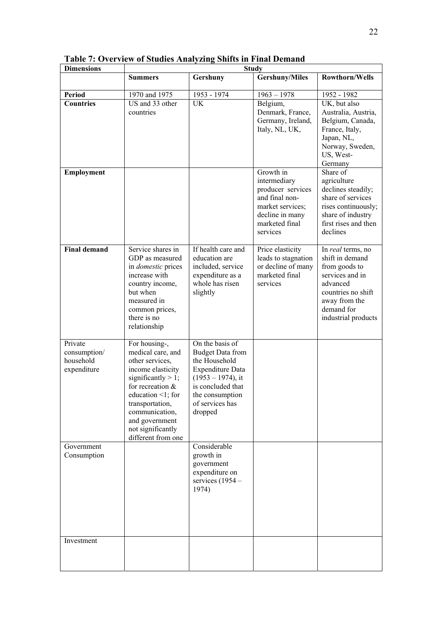| <b>Dimensions</b>                                   |                                                                                                                                                                                                                                                  |                                                                                                                                                                                      | <b>Study</b>                                                                                                                          |                                                                                                                                                                  |
|-----------------------------------------------------|--------------------------------------------------------------------------------------------------------------------------------------------------------------------------------------------------------------------------------------------------|--------------------------------------------------------------------------------------------------------------------------------------------------------------------------------------|---------------------------------------------------------------------------------------------------------------------------------------|------------------------------------------------------------------------------------------------------------------------------------------------------------------|
|                                                     | <b>Summers</b>                                                                                                                                                                                                                                   | Gershuny                                                                                                                                                                             | <b>Gershuny/Miles</b>                                                                                                                 | <b>Rowthorn/Wells</b>                                                                                                                                            |
| <b>Period</b>                                       | 1970 and 1975                                                                                                                                                                                                                                    | 1953 - 1974                                                                                                                                                                          | $1963 - 1978$                                                                                                                         | 1952 - 1982                                                                                                                                                      |
| <b>Countries</b>                                    | US and 33 other<br>countries                                                                                                                                                                                                                     | <b>UK</b>                                                                                                                                                                            | Belgium,<br>Denmark, France,<br>Germany, Ireland,<br>Italy, NL, UK,                                                                   | UK, but also<br>Australia, Austria,<br>Belgium, Canada,<br>France, Italy,<br>Japan, NL,<br>Norway, Sweden,<br>US, West-<br>Germany                               |
| Employment                                          |                                                                                                                                                                                                                                                  |                                                                                                                                                                                      | Growth in<br>intermediary<br>producer services<br>and final non-<br>market services;<br>decline in many<br>marketed final<br>services | Share of<br>agriculture<br>declines steadily;<br>share of services<br>rises continuously;<br>share of industry<br>first rises and then<br>declines               |
| <b>Final demand</b>                                 | Service shares in<br>GDP as measured<br>in <i>domestic</i> prices<br>increase with<br>country income,<br>but when<br>measured in<br>common prices,<br>there is no<br>relationship                                                                | If health care and<br>education are<br>included, service<br>expenditure as a<br>whole has risen<br>slightly                                                                          | Price elasticity<br>leads to stagnation<br>or decline of many<br>marketed final<br>services                                           | In real terms, no<br>shift in demand<br>from goods to<br>services and in<br>advanced<br>countries no shift<br>away from the<br>demand for<br>industrial products |
| Private<br>consumption/<br>household<br>expenditure | For housing-,<br>medical care, and<br>other services,<br>income elasticity<br>significantly $> 1$ ;<br>for recreation $&$<br>education <1; for<br>transportation,<br>communication,<br>and government<br>not significantly<br>different from one | On the basis of<br><b>Budget Data from</b><br>the Household<br><b>Expenditure Data</b><br>$(1953 - 1974)$ , it<br>is concluded that<br>the consumption<br>of services has<br>dropped |                                                                                                                                       |                                                                                                                                                                  |
| Government<br>Consumption                           |                                                                                                                                                                                                                                                  | Considerable<br>growth in<br>government<br>expenditure on<br>services $(1954 -$<br>1974)                                                                                             |                                                                                                                                       |                                                                                                                                                                  |
| Investment                                          |                                                                                                                                                                                                                                                  |                                                                                                                                                                                      |                                                                                                                                       |                                                                                                                                                                  |

|  |  |  |  |  |  |  |  |  |  |  |  |  |  | <b>Table 7: Overview of Studies Analyzing Shifts in Final Demand</b> |
|--|--|--|--|--|--|--|--|--|--|--|--|--|--|----------------------------------------------------------------------|
|--|--|--|--|--|--|--|--|--|--|--|--|--|--|----------------------------------------------------------------------|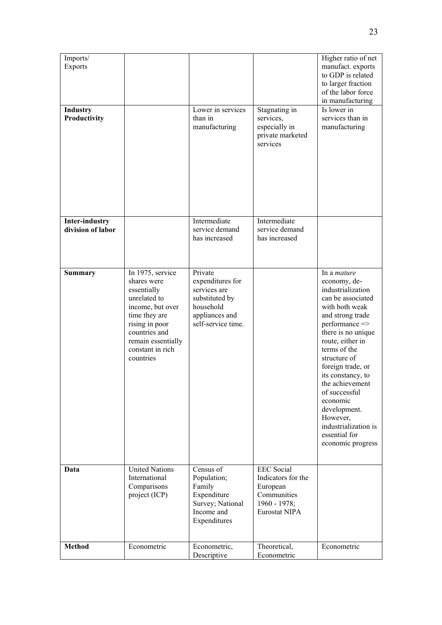| Imports/<br><b>Exports</b>                 |                                                                                                                                                                                               |                                                                                                                    |                                                                                                        | Higher ratio of net<br>manufact. exports<br>to GDP is related<br>to larger fraction<br>of the labor force<br>in manufacturing                                                                                                                                                                                                                                                                      |
|--------------------------------------------|-----------------------------------------------------------------------------------------------------------------------------------------------------------------------------------------------|--------------------------------------------------------------------------------------------------------------------|--------------------------------------------------------------------------------------------------------|----------------------------------------------------------------------------------------------------------------------------------------------------------------------------------------------------------------------------------------------------------------------------------------------------------------------------------------------------------------------------------------------------|
| Industry<br>Productivity                   |                                                                                                                                                                                               | Lower in services<br>than in<br>manufacturing                                                                      | Stagnating in<br>services,<br>especially in<br>private marketed<br>services                            | Is lower in<br>services than in<br>manufacturing                                                                                                                                                                                                                                                                                                                                                   |
| <b>Inter-industry</b><br>division of labor |                                                                                                                                                                                               | Intermediate<br>service demand<br>has increased                                                                    | Intermediate<br>service demand<br>has increased                                                        |                                                                                                                                                                                                                                                                                                                                                                                                    |
| <b>Summary</b>                             | In 1975, service<br>shares were<br>essentially<br>unrelated to<br>income, but over<br>time they are<br>rising in poor<br>countries and<br>remain essentially<br>constant in rich<br>countries | Private<br>expenditures for<br>services are<br>substituted by<br>household<br>appliances and<br>self-service time. |                                                                                                        | In a <i>mature</i><br>economy, de-<br>industrialization<br>can be associated<br>with both weak<br>and strong trade<br>performance =><br>there is no unique<br>route, either in<br>terms of the<br>structure of<br>foreign trade, or<br>its constancy, to<br>the achievement<br>of successful<br>economic<br>development.<br>However,<br>industrialization is<br>essential for<br>economic progress |
| Data                                       | <b>United Nations</b><br>International<br>Comparisons<br>project (ICP)                                                                                                                        | Census of<br>Population;<br>Family<br>Expenditure<br>Survey; National<br>Income and<br>Expenditures                | <b>EEC</b> Social<br>Indicators for the<br>European<br>Communities<br>$1960 - 1978$ ;<br>Eurostat NIPA |                                                                                                                                                                                                                                                                                                                                                                                                    |
| <b>Method</b>                              | Econometric                                                                                                                                                                                   | Econometric,<br>Descriptive                                                                                        | Theoretical,<br>Econometric                                                                            | Econometric                                                                                                                                                                                                                                                                                                                                                                                        |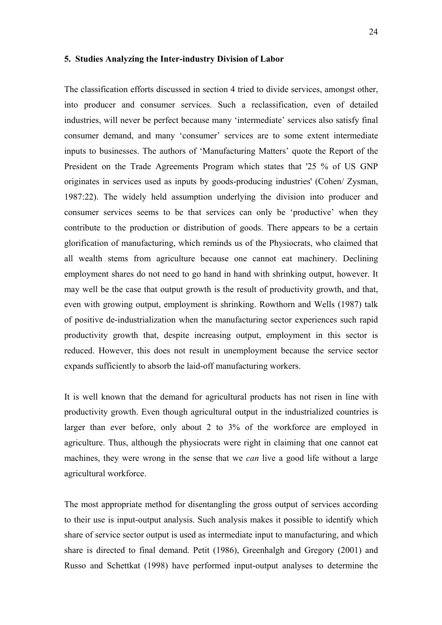#### **5. Studies Analyzing the Inter-industry Division of Labor**

The classification efforts discussed in section 4 tried to divide services, amongst other, into producer and consumer services. Such a reclassification, even of detailed industries, will never be perfect because many 'intermediate' services also satisfy final consumer demand, and many 'consumer' services are to some extent intermediate inputs to businesses. The authors of 'Manufacturing Matters' quote the Report of the President on the Trade Agreements Program which states that '25 % of US GNP originates in services used as inputs by goods-producing industries' (Cohen/ Zysman, 1987:22). The widely held assumption underlying the division into producer and consumer services seems to be that services can only be 'productive' when they contribute to the production or distribution of goods. There appears to be a certain glorification of manufacturing, which reminds us of the Physiocrats, who claimed that all wealth stems from agriculture because one cannot eat machinery. Declining employment shares do not need to go hand in hand with shrinking output, however. It may well be the case that output growth is the result of productivity growth, and that, even with growing output, employment is shrinking. Rowthorn and Wells (1987) talk of positive de-industrialization when the manufacturing sector experiences such rapid productivity growth that, despite increasing output, employment in this sector is reduced. However, this does not result in unemployment because the service sector expands sufficiently to absorb the laid-off manufacturing workers.

It is well known that the demand for agricultural products has not risen in line with productivity growth. Even though agricultural output in the industrialized countries is larger than ever before, only about 2 to 3% of the workforce are employed in agriculture. Thus, although the physiocrats were right in claiming that one cannot eat machines, they were wrong in the sense that we *can* live a good life without a large agricultural workforce.

The most appropriate method for disentangling the gross output of services according to their use is input-output analysis. Such analysis makes it possible to identify which share of service sector output is used as intermediate input to manufacturing, and which share is directed to final demand. Petit (1986), Greenhalgh and Gregory (2001) and Russo and Schettkat (1998) have performed input-output analyses to determine the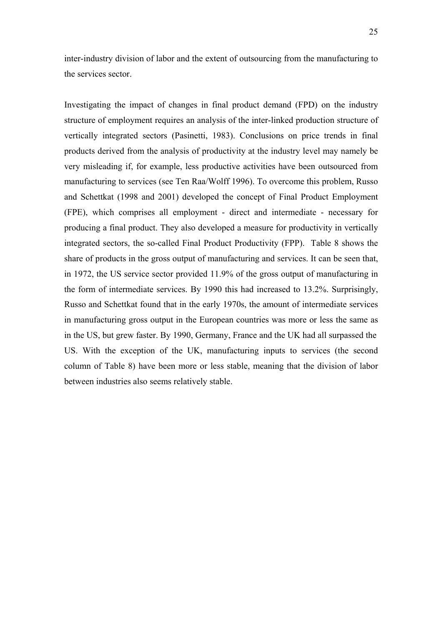inter-industry division of labor and the extent of outsourcing from the manufacturing to the services sector.

Investigating the impact of changes in final product demand (FPD) on the industry structure of employment requires an analysis of the inter-linked production structure of vertically integrated sectors (Pasinetti, 1983). Conclusions on price trends in final products derived from the analysis of productivity at the industry level may namely be very misleading if, for example, less productive activities have been outsourced from manufacturing to services (see Ten Raa/Wolff 1996). To overcome this problem, Russo and Schettkat (1998 and 2001) developed the concept of Final Product Employment (FPE), which comprises all employment - direct and intermediate - necessary for producing a final product. They also developed a measure for productivity in vertically integrated sectors, the so-called Final Product Productivity (FPP). Table 8 shows the share of products in the gross output of manufacturing and services. It can be seen that, in 1972, the US service sector provided 11.9% of the gross output of manufacturing in the form of intermediate services. By 1990 this had increased to 13.2%. Surprisingly, Russo and Schettkat found that in the early 1970s, the amount of intermediate services in manufacturing gross output in the European countries was more or less the same as in the US, but grew faster. By 1990, Germany, France and the UK had all surpassed the US. With the exception of the UK, manufacturing inputs to services (the second column of Table 8) have been more or less stable, meaning that the division of labor between industries also seems relatively stable.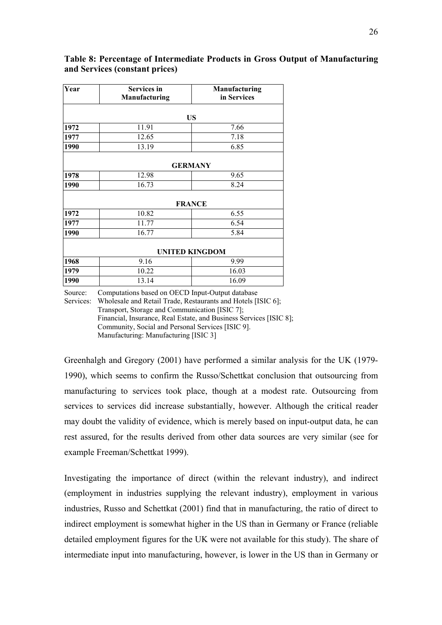| Year | <b>Services</b> in<br>Manufacturing | Manufacturing<br>in Services |
|------|-------------------------------------|------------------------------|
|      |                                     | <b>US</b>                    |
| 1972 | 11.91                               | 7.66                         |
| 1977 | 12.65                               | 7.18                         |
| 1990 | 13.19                               | 6.85                         |
|      |                                     | <b>GERMANY</b>               |
| 1978 | 12.98                               | 9.65                         |
| 1990 | 16.73                               | 8.24                         |
|      |                                     | <b>FRANCE</b>                |
| 1972 | 10.82                               | 6.55                         |
| 1977 | 11.77                               | 6.54                         |
| 1990 | 16.77                               | 5.84                         |
|      |                                     | <b>UNITED KINGDOM</b>        |
| 1968 | 9.16                                | 9.99                         |
| 1979 | 10.22                               | 16.03                        |
| 1990 | 13.14                               | 16.09                        |

#### **Table 8: Percentage of Intermediate Products in Gross Output of Manufacturing and Services (constant prices)**

Source: Computations based on OECD Input-Output database

Services: Wholesale and Retail Trade, Restaurants and Hotels [ISIC 6]; Transport, Storage and Communication [ISIC 7]; Financial, Insurance, Real Estate, and Business Services [ISIC 8]; Community, Social and Personal Services [ISIC 9]. Manufacturing: Manufacturing [ISIC 3]

Greenhalgh and Gregory (2001) have performed a similar analysis for the UK (1979- 1990), which seems to confirm the Russo/Schettkat conclusion that outsourcing from manufacturing to services took place, though at a modest rate. Outsourcing from services to services did increase substantially, however. Although the critical reader may doubt the validity of evidence, which is merely based on input-output data, he can rest assured, for the results derived from other data sources are very similar (see for example Freeman/Schettkat 1999).

Investigating the importance of direct (within the relevant industry), and indirect (employment in industries supplying the relevant industry), employment in various industries, Russo and Schettkat (2001) find that in manufacturing, the ratio of direct to indirect employment is somewhat higher in the US than in Germany or France (reliable detailed employment figures for the UK were not available for this study). The share of intermediate input into manufacturing, however, is lower in the US than in Germany or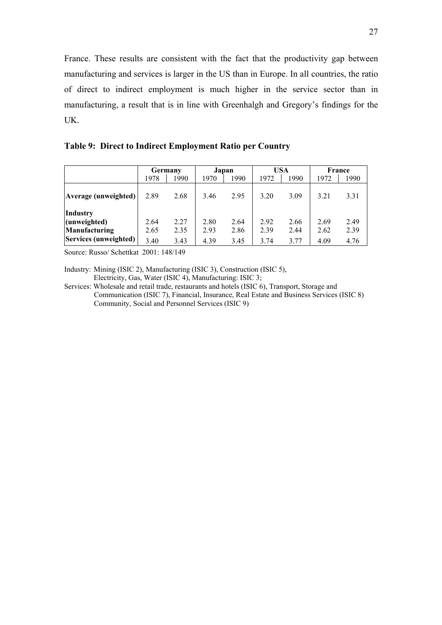France. These results are consistent with the fact that the productivity gap between manufacturing and services is larger in the US than in Europe. In all countries, the ratio of direct to indirect employment is much higher in the service sector than in manufacturing, a result that is in line with Greenhalgh and Gregory's findings for the UK.

**Table 9: Direct to Indirect Employment Ratio per Country** 

|                                                                           |                      | Germany              |                      | Japan                |                      | USA                  | France               |                      |  |
|---------------------------------------------------------------------------|----------------------|----------------------|----------------------|----------------------|----------------------|----------------------|----------------------|----------------------|--|
|                                                                           | 1978                 | 1990                 | 1970                 | 1990                 | 1972                 | 1990                 | 1972                 | 1990                 |  |
| Average (unweighted)                                                      | 2.89                 | 2.68                 | 3.46                 | 2.95                 | 3.20                 | 3.09                 | 3.21                 | 3.31                 |  |
| <b>Industry</b><br>(unweighted)<br>Manufacturing<br>Services (unweighted) | 2.64<br>2.65<br>3.40 | 2.27<br>2.35<br>3.43 | 2.80<br>2.93<br>4.39 | 2.64<br>2.86<br>3.45 | 2.92<br>2.39<br>3.74 | 2.66<br>2.44<br>3.77 | 2.69<br>2.62<br>4.09 | 2.49<br>2.39<br>4.76 |  |

Source: Russo/ Schettkat 2001: 148/149

Industry: Mining (ISIC 2), Manufacturing (ISIC 3), Construction (ISIC 5), Electricity, Gas, Water (ISIC 4), Manufacturing: ISIC 3;

Services: Wholesale and retail trade, restaurants and hotels (ISIC 6), Transport, Storage and Communication (ISIC 7), Financial, Insurance, Real Estate and Business Services (ISIC 8) Community, Social and Personnel Services (ISIC 9)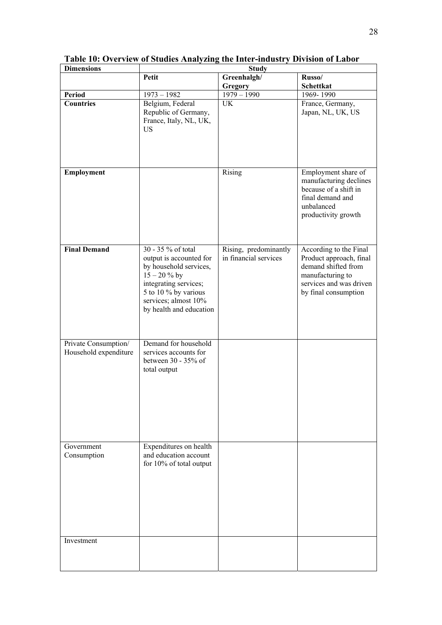| <b>Dimensions</b>                             |                                                                                                                                                                                                | <b>Study</b>                                   |                                                                                                                                                 |  |  |  |  |  |  |
|-----------------------------------------------|------------------------------------------------------------------------------------------------------------------------------------------------------------------------------------------------|------------------------------------------------|-------------------------------------------------------------------------------------------------------------------------------------------------|--|--|--|--|--|--|
|                                               | Petit                                                                                                                                                                                          | Greenhalgh/<br><b>Gregory</b>                  | Russo/<br>Schettkat                                                                                                                             |  |  |  |  |  |  |
| <b>Period</b>                                 | $1973 - 1982$                                                                                                                                                                                  | $1979 - 1990$                                  | 1969-1990                                                                                                                                       |  |  |  |  |  |  |
| Countries                                     | Belgium, Federal<br>Republic of Germany,<br>France, Italy, NL, UK,<br><b>US</b>                                                                                                                | <b>UK</b>                                      | France, Germany,<br>Japan, NL, UK, US                                                                                                           |  |  |  |  |  |  |
| Employment                                    |                                                                                                                                                                                                | Rising                                         | Employment share of<br>manufacturing declines<br>because of a shift in<br>final demand and<br>unbalanced<br>productivity growth                 |  |  |  |  |  |  |
| <b>Final Demand</b>                           | 30 - 35 % of total<br>output is accounted for<br>by household services,<br>$15 - 20 \%$ by<br>integrating services;<br>5 to 10 % by various<br>services; almost 10%<br>by health and education | Rising, predominantly<br>in financial services | According to the Final<br>Product approach, final<br>demand shifted from<br>manufacturing to<br>services and was driven<br>by final consumption |  |  |  |  |  |  |
| Private Consumption/<br>Household expenditure | Demand for household<br>services accounts for<br>between 30 - 35% of<br>total output                                                                                                           |                                                |                                                                                                                                                 |  |  |  |  |  |  |
| Government<br>Consumption                     | Expenditures on health<br>and education account<br>for 10% of total output                                                                                                                     |                                                |                                                                                                                                                 |  |  |  |  |  |  |
| Investment                                    |                                                                                                                                                                                                |                                                |                                                                                                                                                 |  |  |  |  |  |  |

**Table 10: Overview of Studies Analyzing the Inter-industry Division of Labor**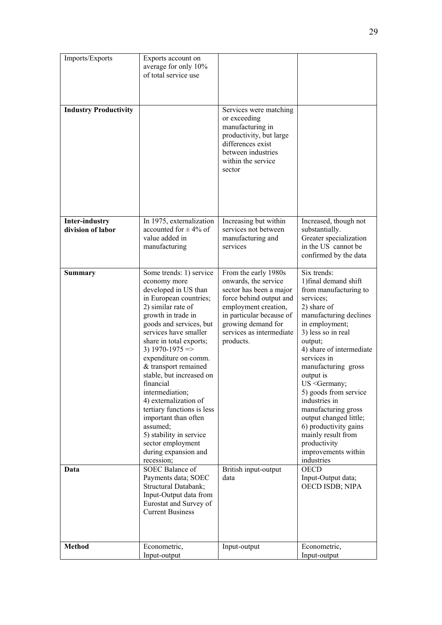| Imports/Exports                            | Exports account on<br>average for only 10%<br>of total service use                                                                                                                                                                                                                                                                                                                                                                                                                                                                                                |                                                                                                                                                                                                                                                       |                                                                                                                                                                                                                                                                                                                                                                                                                                                                                                            |
|--------------------------------------------|-------------------------------------------------------------------------------------------------------------------------------------------------------------------------------------------------------------------------------------------------------------------------------------------------------------------------------------------------------------------------------------------------------------------------------------------------------------------------------------------------------------------------------------------------------------------|-------------------------------------------------------------------------------------------------------------------------------------------------------------------------------------------------------------------------------------------------------|------------------------------------------------------------------------------------------------------------------------------------------------------------------------------------------------------------------------------------------------------------------------------------------------------------------------------------------------------------------------------------------------------------------------------------------------------------------------------------------------------------|
| <b>Industry Productivity</b>               |                                                                                                                                                                                                                                                                                                                                                                                                                                                                                                                                                                   | Services were matching<br>or exceeding<br>manufacturing in<br>productivity, but large<br>differences exist<br>between industries<br>within the service<br>sector                                                                                      |                                                                                                                                                                                                                                                                                                                                                                                                                                                                                                            |
| <b>Inter-industry</b><br>division of labor | In 1975, externalization<br>accounted for $\pm$ 4% of<br>value added in<br>manufacturing                                                                                                                                                                                                                                                                                                                                                                                                                                                                          | Increasing but within<br>services not between<br>manufacturing and<br>services                                                                                                                                                                        | Increased, though not<br>substantially.<br>Greater specialization<br>in the US cannot be<br>confirmed by the data                                                                                                                                                                                                                                                                                                                                                                                          |
| <b>Summary</b><br>Data                     | Some trends: 1) service<br>economy more<br>developed in US than<br>in European countries;<br>2) similar rate of<br>growth in trade in<br>goods and services, but<br>services have smaller<br>share in total exports;<br>3) $1970 - 1975 \implies$<br>expenditure on comm.<br>& transport remained<br>stable, but increased on<br>financial<br>intermediation;<br>4) externalization of<br>tertiary functions is less<br>important than often<br>assumed;<br>5) stability in service<br>sector employment<br>during expansion and<br>recession;<br>SOEC Balance of | From the early 1980s<br>onwards, the service<br>sector has been a major<br>force behind output and<br>employment creation,<br>in particular because of<br>growing demand for<br>services as intermediate<br>products.<br>British input-output<br>data | Six trends:<br>1) final demand shift<br>from manufacturing to<br>services;<br>2) share of<br>manufacturing declines<br>in employment;<br>3) less so in real<br>output;<br>4) share of intermediate<br>services in<br>manufacturing gross<br>output is<br>US <germany;<br>5) goods from service<br/>industries in<br/>manufacturing gross<br/>output changed little;<br/>6) productivity gains<br/>mainly result from<br/>productivity<br/>improvements within<br/>industries<br/><b>OECD</b></germany;<br> |
|                                            | Payments data; SOEC<br>Structural Databank;<br>Input-Output data from<br>Eurostat and Survey of<br><b>Current Business</b>                                                                                                                                                                                                                                                                                                                                                                                                                                        |                                                                                                                                                                                                                                                       | Input-Output data;<br>OECD ISDB; NIPA                                                                                                                                                                                                                                                                                                                                                                                                                                                                      |
| <b>Method</b>                              | Econometric,<br>Input-output                                                                                                                                                                                                                                                                                                                                                                                                                                                                                                                                      | Input-output                                                                                                                                                                                                                                          | Econometric,<br>Input-output                                                                                                                                                                                                                                                                                                                                                                                                                                                                               |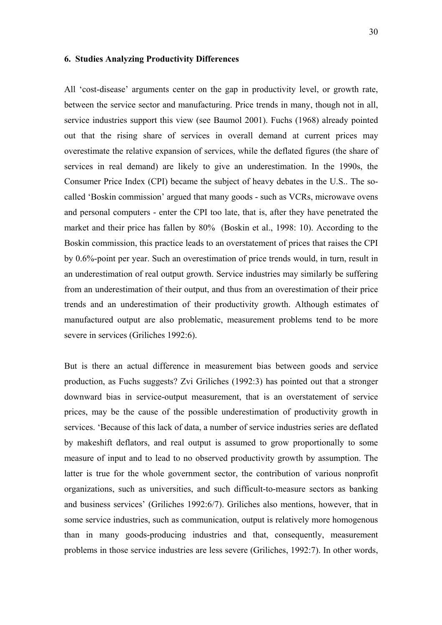#### **6. Studies Analyzing Productivity Differences**

All 'cost-disease' arguments center on the gap in productivity level, or growth rate, between the service sector and manufacturing. Price trends in many, though not in all, service industries support this view (see Baumol 2001). Fuchs (1968) already pointed out that the rising share of services in overall demand at current prices may overestimate the relative expansion of services, while the deflated figures (the share of services in real demand) are likely to give an underestimation. In the 1990s, the Consumer Price Index (CPI) became the subject of heavy debates in the U.S.. The socalled 'Boskin commission' argued that many goods - such as VCRs, microwave ovens and personal computers - enter the CPI too late, that is, after they have penetrated the market and their price has fallen by 80% (Boskin et al., 1998: 10). According to the Boskin commission, this practice leads to an overstatement of prices that raises the CPI by 0.6%-point per year. Such an overestimation of price trends would, in turn, result in an underestimation of real output growth. Service industries may similarly be suffering from an underestimation of their output, and thus from an overestimation of their price trends and an underestimation of their productivity growth. Although estimates of manufactured output are also problematic, measurement problems tend to be more severe in services (Griliches 1992:6).

But is there an actual difference in measurement bias between goods and service production, as Fuchs suggests? Zvi Griliches (1992:3) has pointed out that a stronger downward bias in service-output measurement, that is an overstatement of service prices, may be the cause of the possible underestimation of productivity growth in services. 'Because of this lack of data, a number of service industries series are deflated by makeshift deflators, and real output is assumed to grow proportionally to some measure of input and to lead to no observed productivity growth by assumption. The latter is true for the whole government sector, the contribution of various nonprofit organizations, such as universities, and such difficult-to-measure sectors as banking and business services' (Griliches 1992:6/7). Griliches also mentions, however, that in some service industries, such as communication, output is relatively more homogenous than in many goods-producing industries and that, consequently, measurement problems in those service industries are less severe (Griliches, 1992:7). In other words,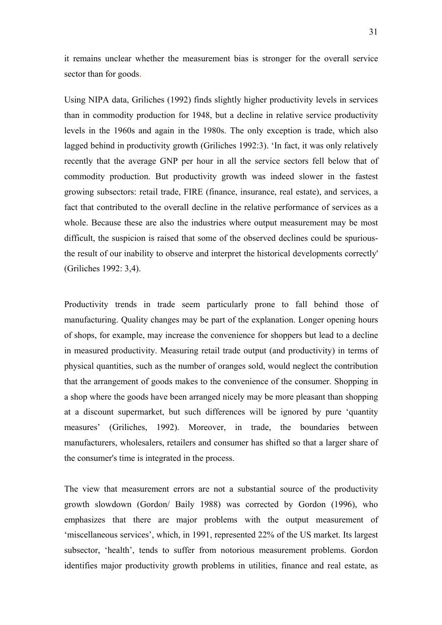it remains unclear whether the measurement bias is stronger for the overall service sector than for goods.

Using NIPA data, Griliches (1992) finds slightly higher productivity levels in services than in commodity production for 1948, but a decline in relative service productivity levels in the 1960s and again in the 1980s. The only exception is trade, which also lagged behind in productivity growth (Griliches 1992:3). 'In fact, it was only relatively recently that the average GNP per hour in all the service sectors fell below that of commodity production. But productivity growth was indeed slower in the fastest growing subsectors: retail trade, FIRE (finance, insurance, real estate), and services, a fact that contributed to the overall decline in the relative performance of services as a whole. Because these are also the industries where output measurement may be most difficult, the suspicion is raised that some of the observed declines could be spuriousthe result of our inability to observe and interpret the historical developments correctly' (Griliches 1992: 3,4).

Productivity trends in trade seem particularly prone to fall behind those of manufacturing. Quality changes may be part of the explanation. Longer opening hours of shops, for example, may increase the convenience for shoppers but lead to a decline in measured productivity. Measuring retail trade output (and productivity) in terms of physical quantities, such as the number of oranges sold, would neglect the contribution that the arrangement of goods makes to the convenience of the consumer. Shopping in a shop where the goods have been arranged nicely may be more pleasant than shopping at a discount supermarket, but such differences will be ignored by pure 'quantity measures' (Griliches, 1992). Moreover, in trade, the boundaries between manufacturers, wholesalers, retailers and consumer has shifted so that a larger share of the consumer's time is integrated in the process.

The view that measurement errors are not a substantial source of the productivity growth slowdown (Gordon/ Baily 1988) was corrected by Gordon (1996), who emphasizes that there are major problems with the output measurement of 'miscellaneous services', which, in 1991, represented 22% of the US market. Its largest subsector, 'health', tends to suffer from notorious measurement problems. Gordon identifies major productivity growth problems in utilities, finance and real estate, as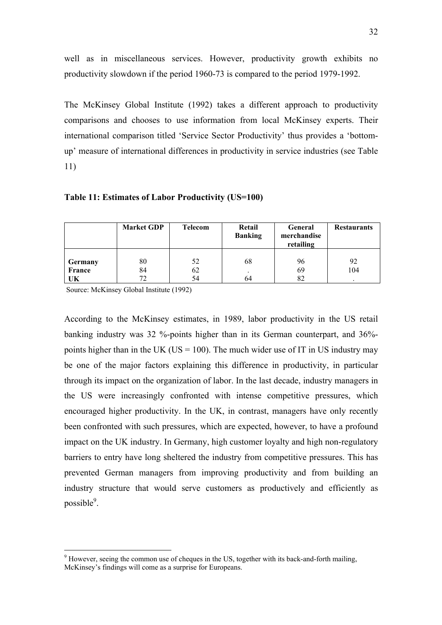well as in miscellaneous services. However, productivity growth exhibits no productivity slowdown if the period 1960-73 is compared to the period 1979-1992.

The McKinsey Global Institute (1992) takes a different approach to productivity comparisons and chooses to use information from local McKinsey experts. Their international comparison titled 'Service Sector Productivity' thus provides a 'bottomup' measure of international differences in productivity in service industries (see Table 11)

**Table 11: Estimates of Labor Productivity (US=100)** 

|                                | <b>Market GDP</b> | <b>Telecom</b> | Retail<br><b>Banking</b> | General<br>merchandise<br>retailing | <b>Restaurants</b> |
|--------------------------------|-------------------|----------------|--------------------------|-------------------------------------|--------------------|
| <b>Germany</b><br>France<br>UK | 80<br>84<br>77    | 52<br>62<br>54 | 68<br>64                 | 96<br>69<br>82                      | 92<br>104          |

Source: McKinsey Global Institute (1992)

 $\overline{a}$ 

According to the McKinsey estimates, in 1989, labor productivity in the US retail banking industry was 32 %-points higher than in its German counterpart, and 36% points higher than in the UK (US = 100). The much wider use of IT in US industry may be one of the major factors explaining this difference in productivity, in particular through its impact on the organization of labor. In the last decade, industry managers in the US were increasingly confronted with intense competitive pressures, which encouraged higher productivity. In the UK, in contrast, managers have only recently been confronted with such pressures, which are expected, however, to have a profound impact on the UK industry. In Germany, high customer loyalty and high non-regulatory barriers to entry have long sheltered the industry from competitive pressures. This has prevented German managers from improving productivity and from building an industry structure that would serve customers as productively and efficiently as possible<sup>9</sup>.

 $9$  However, seeing the common use of cheques in the US, together with its back-and-forth mailing, McKinsey's findings will come as a surprise for Europeans.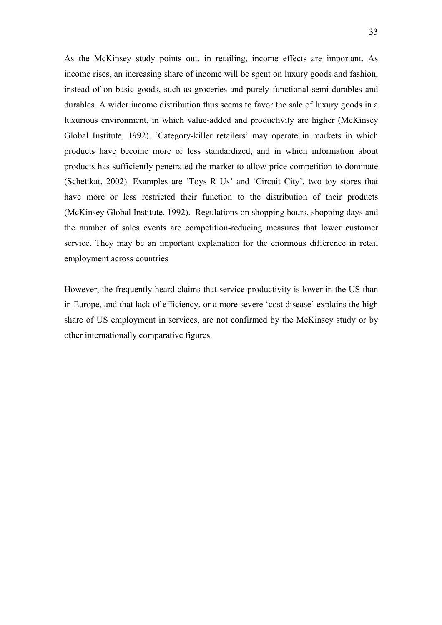As the McKinsey study points out, in retailing, income effects are important. As income rises, an increasing share of income will be spent on luxury goods and fashion, instead of on basic goods, such as groceries and purely functional semi-durables and durables. A wider income distribution thus seems to favor the sale of luxury goods in a luxurious environment, in which value-added and productivity are higher (McKinsey Global Institute, 1992). 'Category-killer retailers' may operate in markets in which products have become more or less standardized, and in which information about products has sufficiently penetrated the market to allow price competition to dominate (Schettkat, 2002). Examples are 'Toys R Us' and 'Circuit City', two toy stores that have more or less restricted their function to the distribution of their products (McKinsey Global Institute, 1992). Regulations on shopping hours, shopping days and the number of sales events are competition-reducing measures that lower customer service. They may be an important explanation for the enormous difference in retail employment across countries

However, the frequently heard claims that service productivity is lower in the US than in Europe, and that lack of efficiency, or a more severe 'cost disease' explains the high share of US employment in services, are not confirmed by the McKinsey study or by other internationally comparative figures.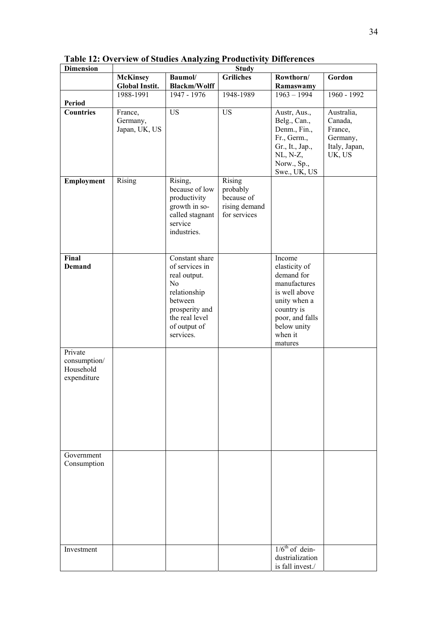| <b>Dimension</b>                                    |                                          |                                                                                                                                                    | <b>Study</b>                                                      |                                                                                                                                                              |                                                                         |  |  |  |  |  |
|-----------------------------------------------------|------------------------------------------|----------------------------------------------------------------------------------------------------------------------------------------------------|-------------------------------------------------------------------|--------------------------------------------------------------------------------------------------------------------------------------------------------------|-------------------------------------------------------------------------|--|--|--|--|--|
|                                                     | <b>McKinsey</b><br><b>Global Instit.</b> | Baumol/<br><b>Blackm/Wolff</b>                                                                                                                     | <b>Griliches</b>                                                  | Rowthorn/<br>Ramaswamy                                                                                                                                       | Gordon                                                                  |  |  |  |  |  |
|                                                     | 1988-1991                                | 1947 - 1976                                                                                                                                        | 1948-1989                                                         | $1963 - 1994$                                                                                                                                                | 1960 - 1992                                                             |  |  |  |  |  |
| Period<br><b>Countries</b>                          | France,<br>Germany,<br>Japan, UK, US     | $\overline{US}$                                                                                                                                    | <b>US</b>                                                         | Austr, Aus.,<br>Belg., Can.,<br>Denm., Fin.,<br>Fr., Germ.,<br>Gr., It., Jap.,<br>$NL, N-Z,$<br>Norw., Sp.,<br>Swe., UK, US                                  | Australia,<br>Canada,<br>France,<br>Germany,<br>Italy, Japan,<br>UK, US |  |  |  |  |  |
| Employment                                          | Rising                                   | Rising,<br>because of low<br>productivity<br>growth in so-<br>called stagnant<br>service<br>industries.                                            | Rising<br>probably<br>because of<br>rising demand<br>for services |                                                                                                                                                              |                                                                         |  |  |  |  |  |
| Final<br><b>Demand</b>                              |                                          | Constant share<br>of services in<br>real output.<br>No<br>relationship<br>between<br>prosperity and<br>the real level<br>of output of<br>services. |                                                                   | Income<br>elasticity of<br>demand for<br>manufactures<br>is well above<br>unity when a<br>country is<br>poor, and falls<br>below unity<br>when it<br>matures |                                                                         |  |  |  |  |  |
| Private<br>consumption/<br>Household<br>expenditure |                                          |                                                                                                                                                    |                                                                   |                                                                                                                                                              |                                                                         |  |  |  |  |  |
| Government<br>Consumption                           |                                          |                                                                                                                                                    |                                                                   |                                                                                                                                                              |                                                                         |  |  |  |  |  |
| Investment                                          |                                          |                                                                                                                                                    |                                                                   | $1/6th$ of dein-<br>dustrialization<br>is fall invest./                                                                                                      |                                                                         |  |  |  |  |  |

**Table 12: Overview of Studies Analyzing Productivity Differences**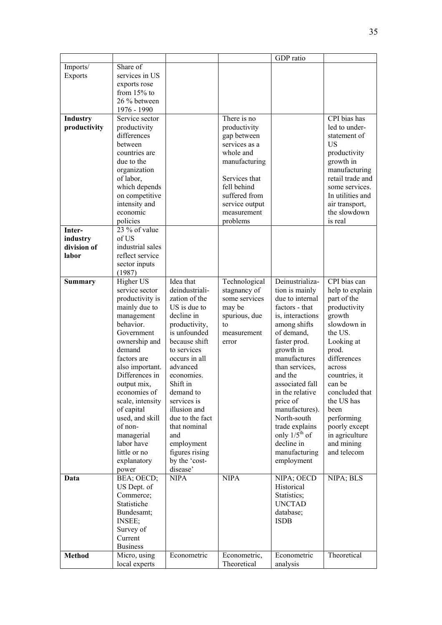|                |                               |                 |                | GDP ratio                   |                  |
|----------------|-------------------------------|-----------------|----------------|-----------------------------|------------------|
| Imports/       | Share of                      |                 |                |                             |                  |
| <b>Exports</b> | services in US                |                 |                |                             |                  |
|                | exports rose                  |                 |                |                             |                  |
|                | from $15%$ to                 |                 |                |                             |                  |
|                | 26 % between                  |                 |                |                             |                  |
|                | 1976 - 1990                   |                 |                |                             |                  |
| Industry       | Service sector                |                 | There is no    |                             | CPI bias has     |
| productivity   | productivity                  |                 | productivity   |                             | led to under-    |
|                | differences                   |                 | gap between    |                             | statement of     |
|                | between                       |                 | services as a  |                             | US               |
|                | countries are                 |                 | whole and      |                             | productivity     |
|                | due to the                    |                 | manufacturing  |                             | growth in        |
|                | organization                  |                 |                |                             | manufacturing    |
|                | of labor,                     |                 | Services that  |                             | retail trade and |
|                | which depends                 |                 | fell behind    |                             | some services.   |
|                | on competitive                |                 | suffered from  |                             | In utilities and |
|                | intensity and                 |                 | service output |                             | air transport,   |
|                | economic                      |                 | measurement    |                             | the slowdown     |
|                | policies                      |                 | problems       |                             | is real          |
| Inter-         | 23 % of value                 |                 |                |                             |                  |
| industry       | of US                         |                 |                |                             |                  |
| division of    | industrial sales              |                 |                |                             |                  |
| labor          | reflect service               |                 |                |                             |                  |
|                | sector inputs                 |                 |                |                             |                  |
|                | (1987)                        |                 |                |                             |                  |
| <b>Summary</b> | Higher US                     | Idea that       | Technological  | Deinustrializa-             | CPI bias can     |
|                | service sector                | deindustriali-  | stagnancy of   | tion is mainly              | help to explain  |
|                | productivity is               | zation of the   | some services  | due to internal             | part of the      |
|                | mainly due to                 | US is due to    | may be         | factors - that              | productivity     |
|                | management                    | decline in      | spurious, due  | is, interactions            | growth           |
|                | behavior.                     | productivity,   | to             | among shifts                | slowdown in      |
|                | Government                    | is unfounded    | measurement    | of demand,                  | the US.          |
|                | ownership and                 | because shift   | error          | faster prod.                | Looking at       |
|                | demand                        | to services     |                | growth in                   | prod.            |
|                | factors are                   | occurs in all   |                | manufactures                | differences      |
|                | also important.               | advanced        |                | than services,              | across           |
|                | Differences in                | economies.      |                | and the                     | countries, it    |
|                | output mix.                   | Shift in        |                | associated fall             | can be           |
|                | economies of                  | demand to       |                | in the relative             | concluded that   |
|                | scale, intensity              | services is     |                | price of                    | the US has       |
|                | of capital                    | illusion and    |                | manufactures).              | been             |
|                | used, and skill               | due to the fact |                | North-south                 | performing       |
|                | of non-                       | that nominal    |                | trade explains              | poorly except    |
|                | managerial                    | and             |                | only $1/5$ <sup>th</sup> of | in agriculture   |
|                | labor have                    | employment      |                | decline in                  | and mining       |
|                | little or no                  | figures rising  |                | manufacturing               | and telecom      |
|                | explanatory                   | by the 'cost-   |                | employment                  |                  |
|                | power                         | disease'        |                |                             |                  |
| Data           | BEA; OECD;                    | <b>NIPA</b>     | <b>NIPA</b>    | NIPA; OECD                  | NIPA; BLS        |
|                | US Dept. of                   |                 |                | Historical                  |                  |
|                | Commerce;                     |                 |                | Statistics;                 |                  |
|                | Statistiche                   |                 |                | <b>UNCTAD</b>               |                  |
|                | Bundesamt;                    |                 |                | database;                   |                  |
|                | INSEE;                        |                 |                | <b>ISDB</b>                 |                  |
|                | Survey of                     |                 |                |                             |                  |
|                | Current                       |                 |                |                             |                  |
| <b>Method</b>  | <b>Business</b>               | Econometric     | Econometric,   | Econometric                 | Theoretical      |
|                | Micro, using<br>local experts |                 | Theoretical    | analysis                    |                  |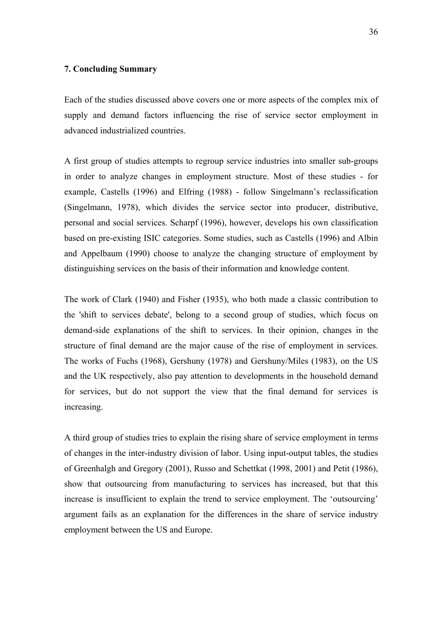#### **7. Concluding Summary**

Each of the studies discussed above covers one or more aspects of the complex mix of supply and demand factors influencing the rise of service sector employment in advanced industrialized countries.

A first group of studies attempts to regroup service industries into smaller sub-groups in order to analyze changes in employment structure. Most of these studies - for example, Castells (1996) and Elfring (1988) - follow Singelmann's reclassification (Singelmann, 1978), which divides the service sector into producer, distributive, personal and social services. Scharpf (1996), however, develops his own classification based on pre-existing ISIC categories. Some studies, such as Castells (1996) and Albin and Appelbaum (1990) choose to analyze the changing structure of employment by distinguishing services on the basis of their information and knowledge content.

The work of Clark (1940) and Fisher (1935), who both made a classic contribution to the 'shift to services debate', belong to a second group of studies, which focus on demand-side explanations of the shift to services. In their opinion, changes in the structure of final demand are the major cause of the rise of employment in services. The works of Fuchs (1968), Gershuny (1978) and Gershuny/Miles (1983), on the US and the UK respectively, also pay attention to developments in the household demand for services, but do not support the view that the final demand for services is increasing.

A third group of studies tries to explain the rising share of service employment in terms of changes in the inter-industry division of labor. Using input-output tables, the studies of Greenhalgh and Gregory (2001), Russo and Schettkat (1998, 2001) and Petit (1986), show that outsourcing from manufacturing to services has increased, but that this increase is insufficient to explain the trend to service employment. The 'outsourcing' argument fails as an explanation for the differences in the share of service industry employment between the US and Europe.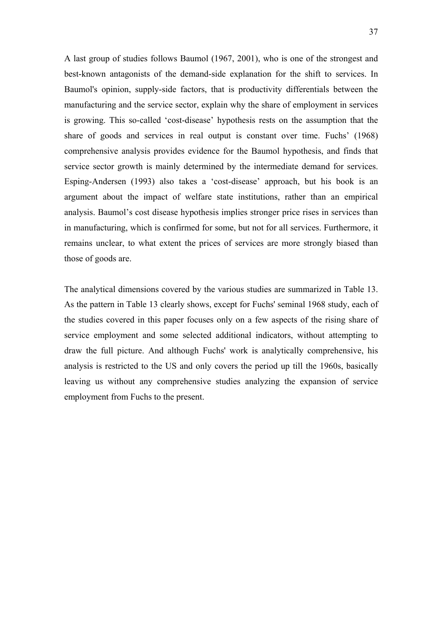A last group of studies follows Baumol (1967, 2001), who is one of the strongest and best-known antagonists of the demand-side explanation for the shift to services. In Baumol's opinion, supply-side factors, that is productivity differentials between the manufacturing and the service sector, explain why the share of employment in services is growing. This so-called 'cost-disease' hypothesis rests on the assumption that the share of goods and services in real output is constant over time. Fuchs' (1968) comprehensive analysis provides evidence for the Baumol hypothesis, and finds that service sector growth is mainly determined by the intermediate demand for services. Esping-Andersen (1993) also takes a 'cost-disease' approach, but his book is an argument about the impact of welfare state institutions, rather than an empirical analysis. Baumol's cost disease hypothesis implies stronger price rises in services than in manufacturing, which is confirmed for some, but not for all services. Furthermore, it remains unclear, to what extent the prices of services are more strongly biased than those of goods are.

The analytical dimensions covered by the various studies are summarized in Table 13. As the pattern in Table 13 clearly shows, except for Fuchs' seminal 1968 study, each of the studies covered in this paper focuses only on a few aspects of the rising share of service employment and some selected additional indicators, without attempting to draw the full picture. And although Fuchs' work is analytically comprehensive, his analysis is restricted to the US and only covers the period up till the 1960s, basically leaving us without any comprehensive studies analyzing the expansion of service employment from Fuchs to the present.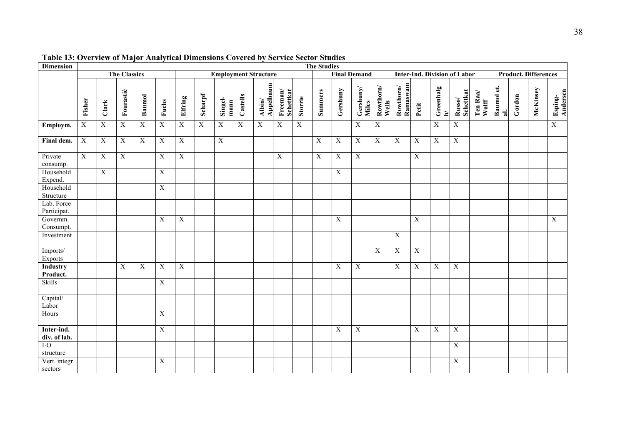| <b>Dimension</b>            |                |                |                       |                |                |                         |                |                 |          |                             |                                                              |         | <b>The Studies</b> |                |                     |                    |                       |                |                                     |                            |                   |                         |        |                             |                     |
|-----------------------------|----------------|----------------|-----------------------|----------------|----------------|-------------------------|----------------|-----------------|----------|-----------------------------|--------------------------------------------------------------|---------|--------------------|----------------|---------------------|--------------------|-----------------------|----------------|-------------------------------------|----------------------------|-------------------|-------------------------|--------|-----------------------------|---------------------|
|                             |                |                | <b>The Classics</b>   |                |                |                         |                |                 |          | <b>Employment Structure</b> |                                                              |         |                    |                | <b>Final Demand</b> |                    |                       |                | <b>Inter-Ind. Division of Labor</b> |                            |                   |                         |        | <b>Product. Differences</b> |                     |
|                             | Fisher         | Clark          | Fourastié             | Baumol         | Fuchs          | Elfring                 | Scharpf        | Singel-<br>mann | Castells | Appelbaum<br>Albin/         | $\ensuremath{\textsc{F}}\xspace$ reeman/<br><b>Schettkat</b> | Storrie | <b>Summers</b>     | Gershuny       | Gershuny/<br>Miles  | Rowthorn/<br>Wells | Ramaswam<br>Rowthorn/ | Petit          | Greenhalg<br>$\mathbf{a}$           | <b>Schettkat</b><br>Russo/ | Ten Raa/<br>Wolff | Baumol et.<br>$\vec{a}$ | Gordon | McKinsey                    | Esping-<br>Andersen |
| Employm.                    | $\overline{X}$ | X              | $\overline{X}$        | X              | $\mathbf X$    | $\overline{X}$          | $\overline{X}$ | $\overline{X}$  | X        | X                           | $\overline{X}$                                               | X       |                    |                | X                   | $\mathbf X$        |                       |                | $\overline{X}$                      | $\mathbf X$                |                   |                         |        |                             | $\overline{X}$      |
| Final dem.                  | $\overline{X}$ | X              | $\overline{X}$        | $\overline{X}$ | $\overline{X}$ | $\overline{X}$          |                | $\overline{X}$  |          |                             |                                                              |         | $\mathbf X$        | $\overline{X}$ | $\mathbf X$         | $\overline{X}$     | $\overline{X}$        | $\overline{X}$ | $\boldsymbol{\mathrm{X}}$           | $\mathbf X$                |                   |                         |        |                             |                     |
| Private<br>consump.         | $\overline{X}$ | $\overline{X}$ | $\overline{\text{X}}$ |                | $\overline{X}$ | $\overline{X}$          |                |                 |          |                             | $\overline{X}$                                               |         | $\overline{X}$     | $\overline{X}$ | $\overline{X}$      |                    |                       | $\overline{X}$ |                                     |                            |                   |                         |        |                             |                     |
| Household<br>Expend.        |                | $\overline{X}$ |                       |                | $\overline{X}$ |                         |                |                 |          |                             |                                                              |         |                    | $\mathbf X$    |                     |                    |                       |                |                                     |                            |                   |                         |        |                             |                     |
| Household<br>Structure      |                |                |                       |                | $\mathbf X$    |                         |                |                 |          |                             |                                                              |         |                    |                |                     |                    |                       |                |                                     |                            |                   |                         |        |                             |                     |
| Lab. Force<br>Participat.   |                |                |                       |                |                |                         |                |                 |          |                             |                                                              |         |                    |                |                     |                    |                       |                |                                     |                            |                   |                         |        |                             |                     |
| Governm.<br>Consumpt.       |                |                |                       |                | X              | $\overline{\mathbf{X}}$ |                |                 |          |                             |                                                              |         |                    | $\mathbf X$    |                     |                    |                       | $\mathbf X$    |                                     |                            |                   |                         |        |                             | $\overline{X}$      |
| Investment                  |                |                |                       |                |                |                         |                |                 |          |                             |                                                              |         |                    |                |                     |                    | X                     |                |                                     |                            |                   |                         |        |                             |                     |
| Imports/<br>Exports         |                |                |                       |                |                |                         |                |                 |          |                             |                                                              |         |                    |                |                     | $\mathbf X$        | $\mathbf X$           | $\mathbf X$    |                                     |                            |                   |                         |        |                             |                     |
| <b>Industry</b><br>Product. |                |                | X                     | X              | X              | $\overline{X}$          |                |                 |          |                             |                                                              |         |                    | $\overline{X}$ | X                   |                    | $\overline{X}$        | X              | X                                   | X                          |                   |                         |        |                             |                     |
| <b>Skills</b>               |                |                |                       |                | $\mathbf X$    |                         |                |                 |          |                             |                                                              |         |                    |                |                     |                    |                       |                |                                     |                            |                   |                         |        |                             |                     |
| Capital/<br>Labor           |                |                |                       |                |                |                         |                |                 |          |                             |                                                              |         |                    |                |                     |                    |                       |                |                                     |                            |                   |                         |        |                             |                     |
| Hours                       |                |                |                       |                | $\mathbf X$    |                         |                |                 |          |                             |                                                              |         |                    |                |                     |                    |                       |                |                                     |                            |                   |                         |        |                             |                     |
| Inter-ind.<br>div. of lab.  |                |                |                       |                | $\mathbf X$    |                         |                |                 |          |                             |                                                              |         |                    | X              | $\mathbf X$         |                    |                       | $\mathbf X$    | $\mathbf X$                         | $\mathbf X$                |                   |                         |        |                             |                     |
| $I-O$<br>structure          |                |                |                       |                |                |                         |                |                 |          |                             |                                                              |         |                    |                |                     |                    |                       |                |                                     | $\boldsymbol{\mathrm{X}}$  |                   |                         |        |                             |                     |
| Vert. integr<br>sectors     |                |                |                       |                | $\mathbf X$    |                         |                |                 |          |                             |                                                              |         |                    |                |                     |                    |                       |                |                                     | $\mathbf X$                |                   |                         |        |                             |                     |

**Table 13: Overview of Major Analytical Dimensions Covered by Service Sector Studies**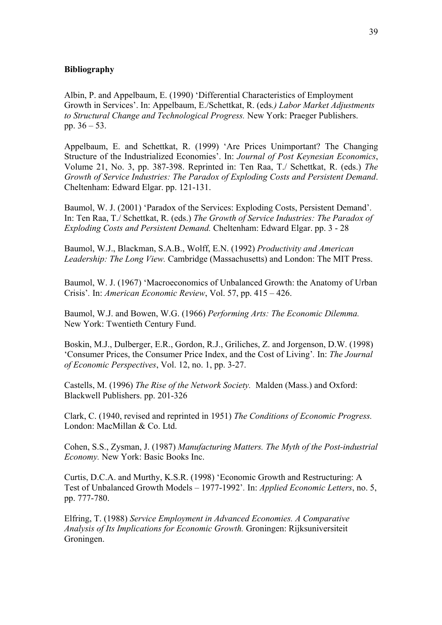#### **Bibliography**

Albin, P. and Appelbaum, E. (1990) 'Differential Characteristics of Employment Growth in Services'. In: Appelbaum, E./Schettkat, R. (eds*.) Labor Market Adjustments to Structural Change and Technological Progress.* New York: Praeger Publishers. pp. 36 – 53.

Appelbaum, E. and Schettkat, R. (1999) 'Are Prices Unimportant? The Changing Structure of the Industrialized Economies'. In: *Journal of Post Keynesian Economics*, Volume 21, No. 3, pp. 387-398. Reprinted in: Ten Raa, T./ Schettkat, R. (eds.) *The Growth of Service Industries: The Paradox of Exploding Costs and Persistent Demand*. Cheltenham: Edward Elgar. pp. 121-131.

Baumol, W. J. (2001) 'Paradox of the Services: Exploding Costs, Persistent Demand'. In: Ten Raa, T./ Schettkat, R. (eds.) *The Growth of Service Industries: The Paradox of Exploding Costs and Persistent Demand.* Cheltenham: Edward Elgar. pp. 3 - 28

Baumol, W.J., Blackman, S.A.B., Wolff, E.N. (1992) *Productivity and American Leadership: The Long View.* Cambridge (Massachusetts) and London: The MIT Press.

Baumol, W. J. (1967) 'Macroeconomics of Unbalanced Growth: the Anatomy of Urban Crisis'*.* In: *American Economic Review*, Vol. 57, pp. 415 – 426.

Baumol, W.J. and Bowen, W.G. (1966) *Performing Arts: The Economic Dilemma.*  New York: Twentieth Century Fund.

Boskin, M.J., Dulberger, E.R., Gordon, R.J., Griliches, Z. and Jorgenson, D.W. (1998) 'Consumer Prices, the Consumer Price Index, and the Cost of Living'*.* In: *The Journal of Economic Perspectives*, Vol. 12, no. 1, pp. 3-27.

Castells, M. (1996) *The Rise of the Network Society.* Malden (Mass.) and Oxford: Blackwell Publishers. pp. 201-326

Clark, C. (1940, revised and reprinted in 1951) *The Conditions of Economic Progress.*  London: MacMillan & Co. Ltd.

Cohen, S.S., Zysman, J. (1987) *Manufacturing Matters. The Myth of the Post-industrial Economy.* New York: Basic Books Inc.

Curtis, D.C.A. and Murthy, K.S.R. (1998) 'Economic Growth and Restructuring: A Test of Unbalanced Growth Models – 1977-1992'*.* In: *Applied Economic Letters*, no. 5, pp. 777-780.

Elfring, T. (1988) *Service Employment in Advanced Economies. A Comparative Analysis of Its Implications for Economic Growth.* Groningen: Rijksuniversiteit Groningen.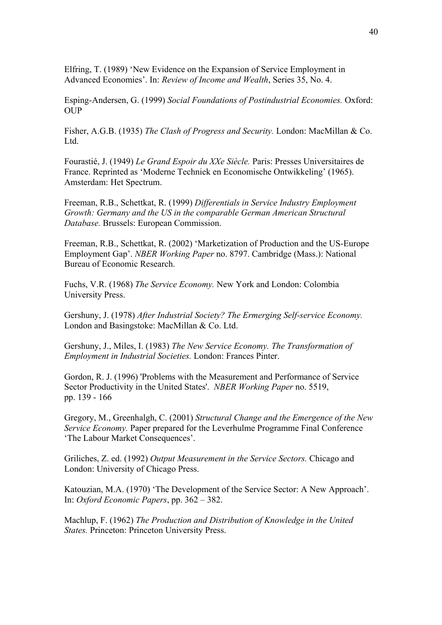Elfring, T. (1989) 'New Evidence on the Expansion of Service Employment in Advanced Economies'. In: *Review of Income and Wealth*, Series 35, No. 4.

Esping-Andersen, G. (1999) *Social Foundations of Postindustrial Economies.* Oxford: OUP

Fisher, A.G.B. (1935) *The Clash of Progress and Security.* London: MacMillan & Co. Ltd.

Fourastié, J. (1949) *Le Grand Espoir du XXe Siècle.* Paris: Presses Universitaires de France. Reprinted as 'Moderne Techniek en Economische Ontwikkeling' (1965). Amsterdam: Het Spectrum.

Freeman, R.B., Schettkat, R. (1999) *Differentials in Service Industry Employment Growth: Germany and the US in the comparable German American Structural Database.* Brussels: European Commission.

Freeman, R.B., Schettkat, R. (2002) 'Marketization of Production and the US-Europe Employment Gap'. *NBER Working Paper* no. 8797. Cambridge (Mass.): National Bureau of Economic Research.

Fuchs, V.R. (1968) *The Service Economy.* New York and London: Colombia University Press.

Gershuny, J. (1978) *After Industrial Society? The Ermerging Self-service Economy.*  London and Basingstoke: MacMillan & Co. Ltd.

Gershuny, J., Miles, I. (1983) *The New Service Economy. The Transformation of Employment in Industrial Societies.* London: Frances Pinter.

Gordon, R. J. (1996) 'Problems with the Measurement and Performance of Service Sector Productivity in the United States'. *NBER Working Paper* no. 5519, pp. 139 - 166

Gregory, M., Greenhalgh, C. (2001) *Structural Change and the Emergence of the New Service Economy.* Paper prepared for the Leverhulme Programme Final Conference 'The Labour Market Consequences'.

Griliches, Z. ed. (1992) *Output Measurement in the Service Sectors.* Chicago and London: University of Chicago Press.

Katouzian, M.A. (1970) 'The Development of the Service Sector: A New Approach'. In: *Oxford Economic Papers*, pp. 362 – 382.

Machlup, F. (1962) *The Production and Distribution of Knowledge in the United States.* Princeton: Princeton University Press.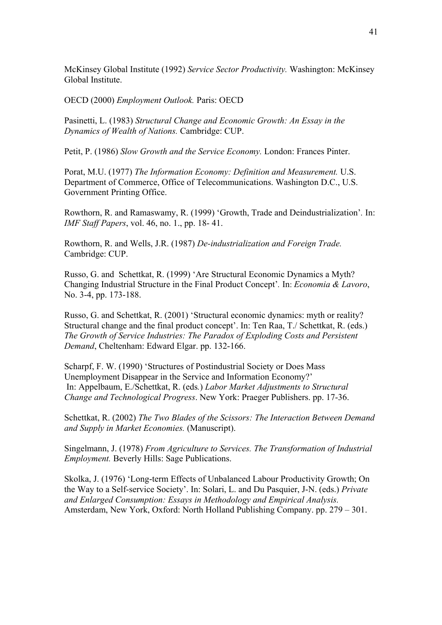McKinsey Global Institute (1992) *Service Sector Productivity.* Washington: McKinsey Global Institute.

OECD (2000) *Employment Outlook.* Paris: OECD

Pasinetti, L. (1983) *Structural Change and Economic Growth: An Essay in the Dynamics of Wealth of Nations.* Cambridge: CUP.

Petit, P. (1986) *Slow Growth and the Service Economy.* London: Frances Pinter.

Porat, M.U. (1977) *The Information Economy: Definition and Measurement.* U.S. Department of Commerce, Office of Telecommunications. Washington D.C., U.S. Government Printing Office.

Rowthorn, R. and Ramaswamy, R. (1999) 'Growth, Trade and Deindustrialization'*.* In: *IMF Staff Papers*, vol. 46, no. 1., pp. 18- 41.

Rowthorn, R. and Wells, J.R. (1987) *De-industrialization and Foreign Trade.*  Cambridge: CUP.

Russo, G. and Schettkat, R. (1999) 'Are Structural Economic Dynamics a Myth? Changing Industrial Structure in the Final Product Concept'*.* In: *Economia & Lavoro*, No. 3-4, pp. 173-188.

Russo, G. and Schettkat, R. (2001) 'Structural economic dynamics: myth or reality? Structural change and the final product concept'. In: Ten Raa, T./ Schettkat, R. (eds.) *The Growth of Service Industries: The Paradox of Exploding Costs and Persistent Demand*, Cheltenham: Edward Elgar. pp. 132-166.

Scharpf, F. W. (1990) 'Structures of Postindustrial Society or Does Mass Unemployment Disappear in the Service and Information Economy?' In: Appelbaum, E./Schettkat, R. (eds*.*) *Labor Market Adjustments to Structural Change and Technological Progress*. New York: Praeger Publishers. pp. 17-36.

Schettkat, R. (2002) *The Two Blades of the Scissors: The Interaction Between Demand and Supply in Market Economies.* (Manuscript).

Singelmann, J. (1978) *From Agriculture to Services. The Transformation of Industrial Employment.* Beverly Hills: Sage Publications.

Skolka, J. (1976) 'Long-term Effects of Unbalanced Labour Productivity Growth; On the Way to a Self-service Society'. In: Solari, L. and Du Pasquier, J-N. (eds.) *Private and Enlarged Consumption: Essays in Methodology and Empirical Analysis.*  Amsterdam, New York, Oxford: North Holland Publishing Company. pp. 279 – 301.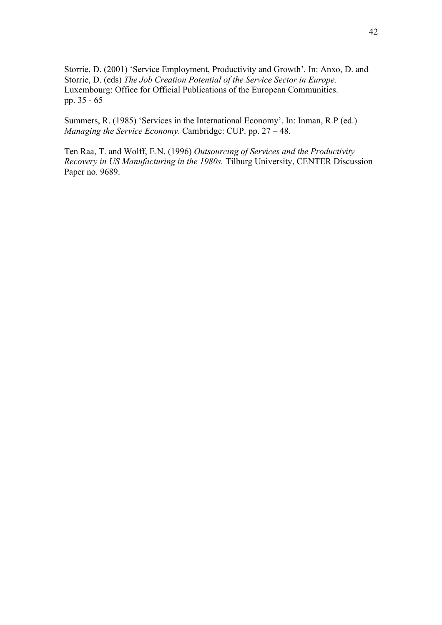Storrie, D. (2001) 'Service Employment, Productivity and Growth'*.* In: Anxo, D. and Storrie, D. (eds) *The Job Creation Potential of the Service Sector in Europe.* Luxembourg: Office for Official Publications of the European Communities. pp. 35 - 65

Summers, R. (1985) 'Services in the International Economy'. In: Inman, R.P (ed.) *Managing the Service Economy*. Cambridge: CUP. pp. 27 – 48.

Ten Raa, T. and Wolff, E.N. (1996) *Outsourcing of Services and the Productivity Recovery in US Manufacturing in the 1980s.* Tilburg University, CENTER Discussion Paper no. 9689.